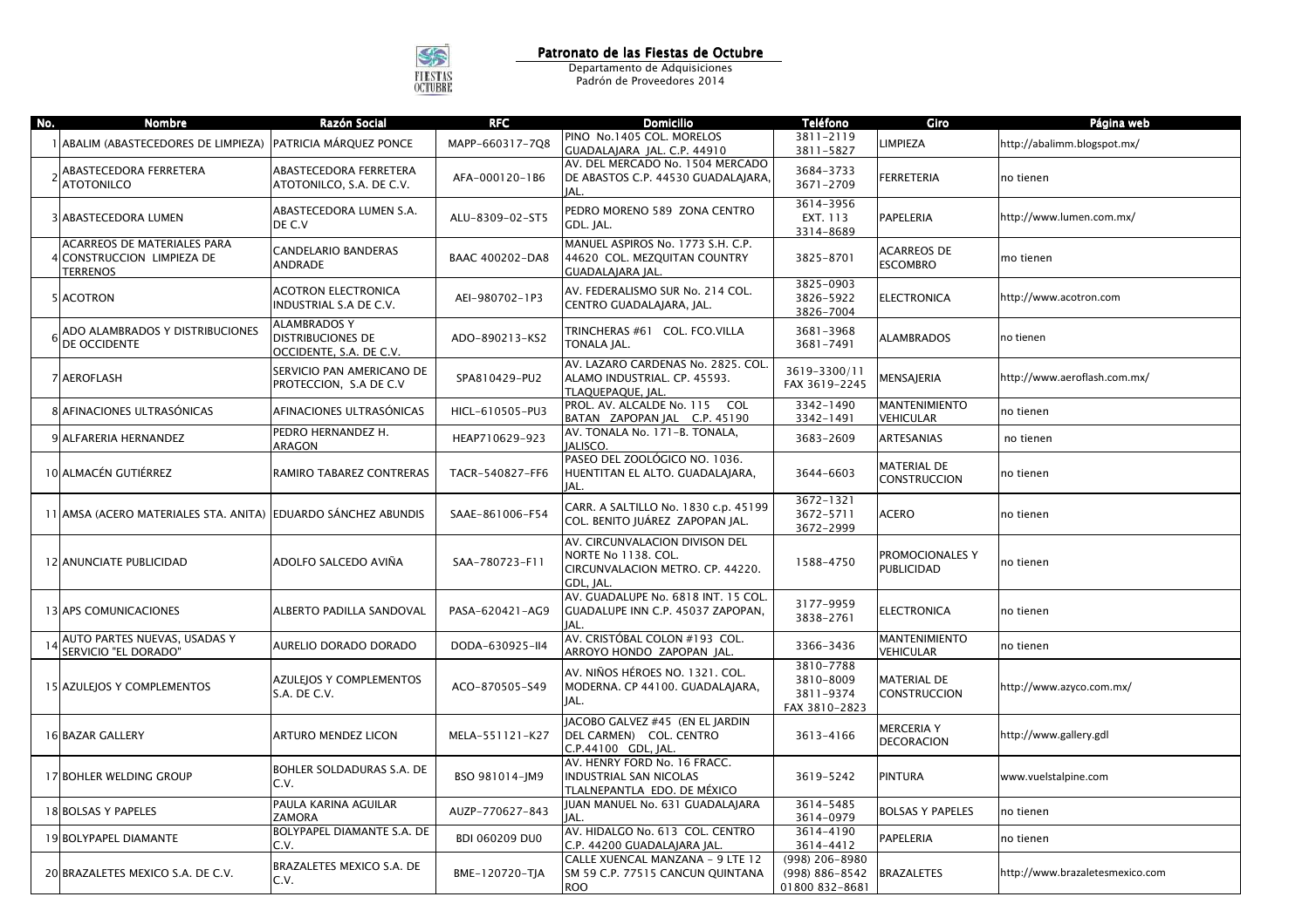

**Patronato de las Fiestas de Octubre**<br> **Departamento de Adquisiciones**<br>
Padrón de Proveedores 2014

| No. | <b>Nombre</b>                                                                       | Razón Social                                                               | <b>RFC</b>            | <b>Domicilio</b>                                                                                       | <b>Teléfono</b>                                      | Giro                                      | Página web                      |
|-----|-------------------------------------------------------------------------------------|----------------------------------------------------------------------------|-----------------------|--------------------------------------------------------------------------------------------------------|------------------------------------------------------|-------------------------------------------|---------------------------------|
|     | ABALIM (ABASTECEDORES DE LIMPIEZA)                                                  | PATRICIA MÁRQUEZ PONCE                                                     | MAPP-660317-7Q8       | PINO No.1405 COL. MORELOS<br>GUADALAJARA JAL. C.P. 44910                                               | 3811-2119<br>3811-5827                               | LIMPIEZA                                  | http://abalimm.blogspot.mx/     |
|     | ABASTECEDORA FERRETERA<br><b>ATOTONILCO</b>                                         | ABASTECEDORA FERRETERA<br>ATOTONILCO, S.A. DE C.V.                         | AFA-000120-1B6        | AV. DEL MERCADO No. 1504 MERCADO<br>DE ABASTOS C.P. 44530 GUADALAJARA,<br>IAL.                         | 3684-3733<br>3671-2709                               | FERRETERIA                                | no tienen                       |
|     | 3 ABASTECEDORA LUMEN                                                                | ABASTECEDORA LUMEN S.A.<br>DE C.V                                          | ALU-8309-02-ST5       | PEDRO MORENO 589 ZONA CENTRO<br>GDL. JAL.                                                              | 3614-3956<br>EXT. 113<br>3314-8689                   | PAPELERIA                                 | http://www.lumen.com.mx/        |
|     | <b>ACARREOS DE MATERIALES PARA</b><br>4 CONSTRUCCION LIMPIEZA DE<br><b>TERRENOS</b> | CANDELARIO BANDERAS<br><b>ANDRADE</b>                                      | BAAC 400202-DA8       | MANUEL ASPIROS No. 1773 S.H. C.P.<br>44620 COL. MEZQUITAN COUNTRY<br>GUADALAJARA JAL.                  | 3825-8701                                            | <b>ACARREOS DE</b><br><b>ESCOMBRO</b>     | mo tienen                       |
|     | 5 ACOTRON                                                                           | <b>ACOTRON ELECTRONICA</b><br>INDUSTRIAL S.A DE C.V.                       | AEI-980702-1P3        | AV. FEDERALISMO SUR No. 214 COL.<br>CENTRO GUADALAJARA, JAL.                                           | 3825-0903<br>3826-5922<br>3826-7004                  | <b>ELECTRONICA</b>                        | http://www.acotron.com          |
|     | ADO ALAMBRADOS Y DISTRIBUCIONES<br>DE OCCIDENTE                                     | <b>ALAMBRADOS Y</b><br><b>DISTRIBUCIONES DE</b><br>OCCIDENTE, S.A. DE C.V. | ADO-890213-KS2        | TRINCHERAS #61 COL. FCO.VILLA<br>TONALA JAL.                                                           | 3681-3968<br>3681-7491                               | <b>ALAMBRADOS</b>                         | no tienen                       |
|     | 7 AEROFLASH                                                                         | SERVICIO PAN AMERICANO DE<br>PROTECCION, S.A DE C.V                        | SPA810429-PU2         | AV. LAZARO CARDENAS No. 2825. COL<br>ALAMO INDUSTRIAL. CP. 45593.<br>TLAQUEPAQUE, JAL                  | 3619-3300/11<br>FAX 3619-2245                        | MENSAJERIA                                | http://www.aeroflash.com.mx/    |
|     | 8 AFINACIONES ULTRASÓNICAS                                                          | AFINACIONES ULTRASÓNICAS                                                   | HICL-610505-PU3       | PROL. AV. ALCALDE No. 115 COL<br>BATAN ZAPOPAN JAL C.P. 45190                                          | 3342-1490<br>3342-1491                               | <b>MANTENIMIENTO</b><br>VEHICULAR         | no tienen                       |
|     | 9 ALFARERIA HERNANDEZ                                                               | PEDRO HERNANDEZ H.<br>ARAGON                                               | HEAP710629-923        | AV. TONALA No. 171-B. TONALA,<br><b>IALISCO.</b>                                                       | 3683-2609                                            | ARTESANIAS                                | no tienen                       |
|     | 10 ALMACÉN GUTIÉRREZ                                                                | RAMIRO TABAREZ CONTRERAS                                                   | TACR-540827-FF6       | PASEO DEL ZOOLÓGICO NO. 1036.<br>HUENTITAN EL ALTO. GUADALAJARA,<br>IAL.                               | 3644-6603                                            | <b>MATERIAL DE</b><br><b>CONSTRUCCION</b> | no tienen                       |
|     | 11 AMSA (ACERO MATERIALES STA. ANITA) EDUARDO SÁNCHEZ ABUNDIS                       |                                                                            | SAAE-861006-F54       | CARR. A SALTILLO No. 1830 c.p. 45199<br>COL. BENITO JUÁREZ ZAPOPAN JAL.                                | 3672-1321<br>3672-5711<br>3672-2999                  | ACERO                                     | no tienen                       |
|     | 12 ANUNCIATE PUBLICIDAD                                                             | ADOLFO SALCEDO AVIÑA                                                       | SAA-780723-F11        | AV. CIRCUNVALACION DIVISON DEL<br>NORTE No 1138. COL.<br>CIRCUNVALACION METRO. CP. 44220.<br>GDL. IAL. | 1588-4750                                            | PROMOCIONALES Y<br>PUBLICIDAD             | no tienen                       |
|     | 13 APS COMUNICACIONES                                                               | ALBERTO PADILLA SANDOVAL                                                   | PASA-620421-AG9       | AV. GUADALUPE No. 6818 INT. 15 COL.<br>GUADALUPE INN C.P. 45037 ZAPOPAN,<br>IAL                        | 3177-9959<br>3838-2761                               | <b>ELECTRONICA</b>                        | no tienen                       |
|     | AUTO PARTES NUEVAS, USADAS Y<br>SERVICIO "EL DORADO"                                | AURELIO DORADO DORADO                                                      | DODA-630925-II4       | AV. CRISTÓBAL COLON #193 COL.<br>ARROYO HONDO ZAPOPAN JAL.                                             | 3366-3436                                            | <b>MANTENIMIENTO</b><br><b>VEHICULAR</b>  | no tienen                       |
|     | 15 AZULEJOS Y COMPLEMENTOS                                                          | AZULEJOS Y COMPLEMENTOS<br>S.A. DE C.V.                                    | ACO-870505-S49        | AV. NIÑOS HÉROES NO. 1321. COL.<br>MODERNA. CP 44100. GUADALAJARA,<br>JAL.                             | 3810-7788<br>3810-8009<br>3811-9374<br>FAX 3810-2823 | <b>MATERIAL DE</b><br><b>CONSTRUCCION</b> | http://www.azyco.com.mx/        |
|     | 16 BAZAR GALLERY                                                                    | <b>ARTURO MENDEZ LICON</b>                                                 | MELA-551121-K27       | JACOBO GALVEZ #45 (EN EL JARDIN<br>DEL CARMEN) COL. CENTRO<br>C.P.44100 GDL, JAL.                      | 3613-4166                                            | <b>MERCERIA Y</b><br>DECORACION           | http://www.gallery.gdl          |
|     | 17 BOHLER WELDING GROUP                                                             | BOHLER SOLDADURAS S.A. DE<br>C.V.                                          | BSO 981014-JM9        | AV. HENRY FORD No. 16 FRACC.<br><b>INDUSTRIAL SAN NICOLAS</b><br>TLALNEPANTLA EDO. DE MÉXICO           | 3619-5242                                            | PINTURA                                   | www.vuelstalpine.com            |
|     | <b>18 BOLSAS Y PAPELES</b>                                                          | PAULA KARINA AGUILAR<br>ZAMORA                                             | AUZP-770627-843       | JUAN MANUEL No. 631 GUADALAJARA<br>IAL.                                                                | 3614-5485<br>3614-0979                               | <b>BOLSAS Y PAPELES</b>                   | no tienen                       |
|     | 19 BOLYPAPEL DIAMANTE                                                               | BOLYPAPEL DIAMANTE S.A. DE<br>C.V.                                         | <b>BDI 060209 DU0</b> | AV. HIDALGO No. 613 COL. CENTRO<br>C.P. 44200 GUADALAJARA JAL                                          | 3614-4190<br>3614-4412                               | PAPELERIA                                 | no tienen                       |
|     | 20 BRAZALETES MEXICO S.A. DE C.V.                                                   | BRAZALETES MEXICO S.A. DE<br>C.V.                                          | BME-120720-TJA        | CALLE XUENCAL MANZANA - 9 LTE 12<br>SM 59 C.P. 77515 CANCUN QUINTANA<br><b>ROO</b>                     | (998) 206-8980<br>(998) 886-8542<br>01800 832-8681   | <b>BRAZALETES</b>                         | http://www.brazaletesmexico.com |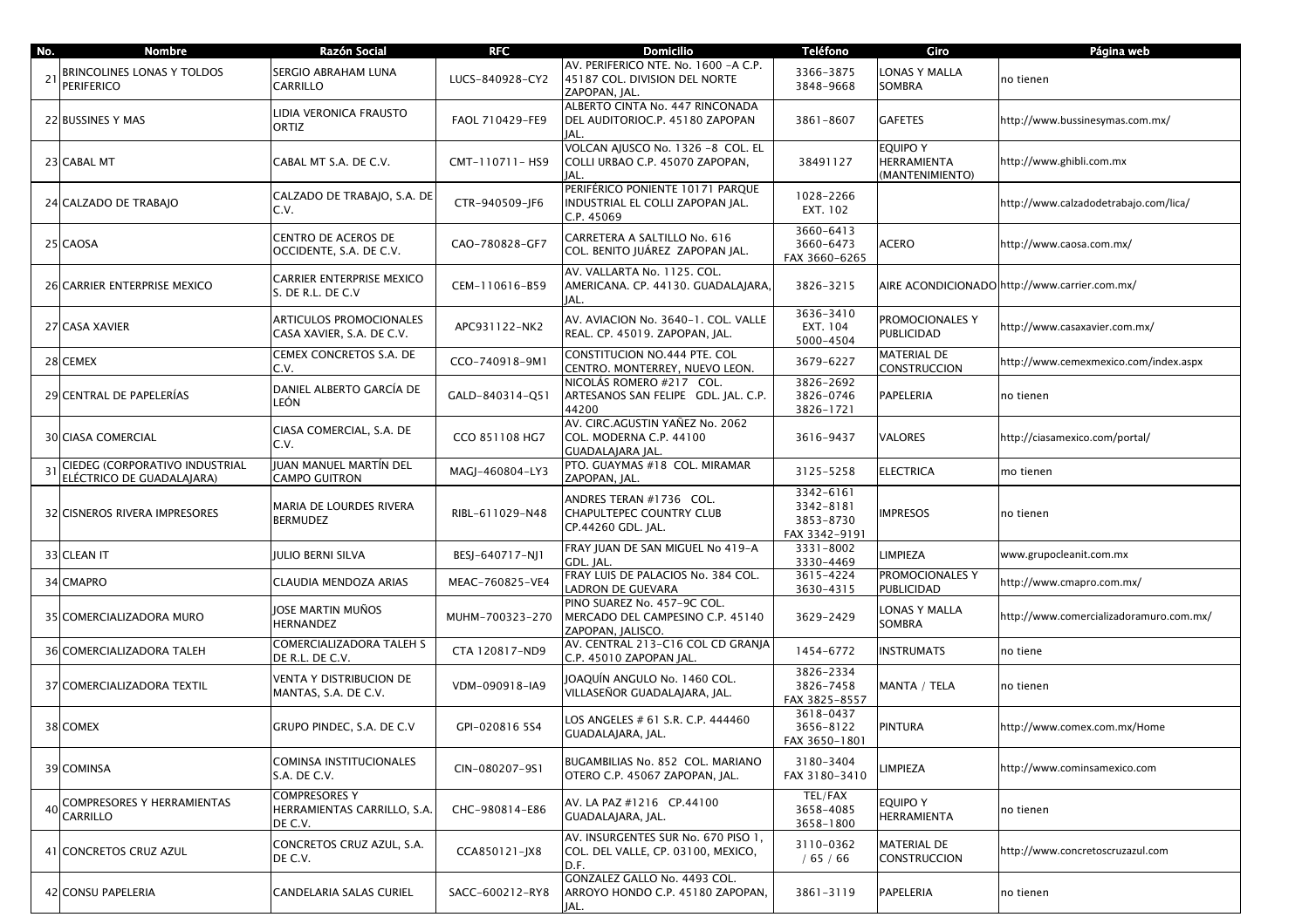| No. | <b>Nombre</b>                                               | Razón Social                                            | <b>RFC</b>      | <b>Domicilio</b>                                                                       | <b>Teléfono</b>                                      | Giro                                              | Página web                                    |
|-----|-------------------------------------------------------------|---------------------------------------------------------|-----------------|----------------------------------------------------------------------------------------|------------------------------------------------------|---------------------------------------------------|-----------------------------------------------|
| 21  | BRINCOLINES LONAS Y TOLDOS<br><b>PERIFERICO</b>             | SERGIO ABRAHAM LUNA<br>CARRILLO                         | LUCS-840928-CY2 | AV. PERIFERICO NTE. No. 1600 -A C.P.<br>45187 COL. DIVISION DEL NORTE<br>ZAPOPAN, JAL. | 3366-3875<br>3848-9668                               | ONAS Y MALLA<br>SOMBRA                            | no tienen                                     |
|     | 22 BUSSINES Y MAS                                           | LIDIA VERONICA FRAUSTO<br>ORTIZ                         | FAOL 710429-FE9 | ALBERTO CINTA No. 447 RINCONADA<br>DEL AUDITORIOC.P. 45180 ZAPOPAN<br>JAL.             | 3861-8607                                            | <b>GAFETES</b>                                    | http://www.bussinesymas.com.mx/               |
|     | 23 CABAL MT                                                 | CABAL MT S.A. DE C.V.                                   | CMT-110711-HS9  | VOLCAN AJUSCO No. 1326 -8 COL. EL<br>COLLI URBAO C.P. 45070 ZAPOPAN,<br>IAL.           | 38491127                                             | <b>EQUIPO Y</b><br>HERRAMIENTA<br>(MANTENIMIENTO) | nttp://www.ghibli.com.mx                      |
|     | 24 CALZADO DE TRABAJO                                       | CALZADO DE TRABAJO, S.A. DE<br>C.V.                     | CTR-940509-JF6  | PERIFÉRICO PONIENTE 10171 PARQUE<br>INDUSTRIAL EL COLLI ZAPOPAN JAL.<br>C.P. 45069     | 1028-2266<br>EXT. 102                                |                                                   | http://www.calzadodetrabajo.com/lica/         |
|     | 25 CAOSA                                                    | CENTRO DE ACEROS DE<br>OCCIDENTE, S.A. DE C.V.          | CAO-780828-GF7  | CARRETERA A SALTILLO No. 616<br>COL. BENITO JUÁREZ ZAPOPAN JAL.                        | 3660-6413<br>3660-6473<br>FAX 3660-6265              | ACERO                                             | /1ttp://www.caosa.com.mx                      |
|     | 26 CARRIER ENTERPRISE MEXICO                                | CARRIER ENTERPRISE MEXICO<br>S. DE R.L. DE C.V          | CEM-110616-B59  | AV. VALLARTA No. 1125. COL.<br>AMERICANA. CP. 44130. GUADALAJARA<br>JAL.               | 3826-3215                                            |                                                   | AIRE ACONDICIONADO http://www.carrier.com.mx/ |
|     | 27 CASA XAVIER                                              | ARTICULOS PROMOCIONALES<br>CASA XAVIER, S.A. DE C.V.    | APC931122-NK2   | AV. AVIACION No. 3640-1. COL. VALLE<br>REAL. CP. 45019. ZAPOPAN, JAL.                  | 3636-3410<br>EXT. 104<br>5000-4504                   | PROMOCIONALES Y<br>PUBLICIDAD                     | http://www.casaxavier.com.mx/                 |
|     | 28 CEMEX                                                    | CEMEX CONCRETOS S.A. DE<br>C.V.                         | CCO-740918-9M1  | CONSTITUCION NO.444 PTE. COL<br>CENTRO. MONTERREY, NUEVO LEON.                         | 3679-6227                                            | <b>MATERIAL DE</b><br><b>CONSTRUCCION</b>         | nttp://www.cemexmexico.com/index.aspx         |
|     | 29 CENTRAL DE PAPELERÍAS                                    | DANIEL ALBERTO GARCÍA DE<br>LEÓN                        | GALD-840314-Q51 | NICOLÁS ROMERO #217 COL.<br>ARTESANOS SAN FELIPE GDL. JAL. C.P.<br>44200               | 3826-2692<br>3826-0746<br>3826-1721                  | PAPELERIA                                         | no tienen                                     |
|     | <b>30 CIASA COMERCIAL</b>                                   | CIASA COMERCIAL, S.A. DE<br>C.V.                        | CCO 851108 HG7  | AV. CIRC.AGUSTIN YAÑEZ No. 2062<br>COL. MODERNA C.P. 44100<br>GUADALAJARA JAL.         | 3616-9437                                            | <b>VALORES</b>                                    | http://ciasamexico.com/portal/                |
| 31  | CIEDEG (CORPORATIVO INDUSTRIAL<br>ELÉCTRICO DE GUADALAJARA) | <b>IUAN MANUEL MARTÍN DEL</b><br><b>CAMPO GUITRON</b>   | MAGJ-460804-LY3 | PTO. GUAYMAS #18 COL. MIRAMAR<br>ZAPOPAN, JAL.                                         | 3125-5258                                            | <b>ELECTRICA</b>                                  | mo tienen                                     |
|     | 32 CISNEROS RIVERA IMPRESORES                               | MARIA DE LOURDES RIVERA<br><b>BERMUDEZ</b>              | RIBL-611029-N48 | ANDRES TERAN #1736 COL.<br>CHAPULTEPEC COUNTRY CLUB<br>CP.44260 GDL. JAL.              | 3342-6161<br>3342-8181<br>3853-8730<br>FAX 3342-9191 | <b>MPRESOS</b>                                    | no tienen                                     |
|     | 33 CLEAN IT                                                 | <b>JULIO BERNI SILVA</b>                                | BESJ-640717-NJ1 | FRAY JUAN DE SAN MIGUEL No 419-A<br>GDL. JAL.                                          | 3331-8002<br>3330-4469                               | <b>IMPIEZA</b>                                    | www.grupocleanit.com.mx                       |
|     | 34 CMAPRO                                                   | CLAUDIA MENDOZA ARIAS                                   | MEAC-760825-VE4 | FRAY LUIS DE PALACIOS No. 384 COL.<br>LADRON DE GUEVARA                                | 3615-4224<br>3630-4315                               | PROMOCIONALES Y<br>PUBLICIDAD                     | http://www.cmapro.com.mx/                     |
|     | 35 COMERCIALIZADORA MURO                                    | JOSE MARTIN MUÑOS<br>HERNANDEZ                          | MUHM-700323-270 | PINO SUAREZ No. 457-9C COL.<br>MERCADO DEL CAMPESINO C.P. 45140<br>ZAPOPAN, JALISCO.   | 3629-2429                                            | ONAS Y MALLA<br>SOMBRA                            | /1ttp://www.comercializadoramuro.com.mx       |
|     | 36 COMERCIALIZADORA TALEH                                   | COMERCIALIZADORA TALEH S<br>de R.L. de C.V.             | CTA 120817-ND9  | AV. CENTRAL 213-C16 COL CD GRANJA<br>C.P. 45010 ZAPOPAN JAL.                           | 1454-6772                                            | <b>INSTRUMATS</b>                                 | no tiene                                      |
|     | 37 COMERCIALIZADORA TEXTIL                                  | VENTA Y DISTRIBUCION DE<br>MANTAS, S.A. DE C.V.         | VDM-090918-IA9  | JOAQUÍN ANGULO No. 1460 COL.<br>VILLASEÑOR GUADALAJARA, JAL.                           | 3826-2334<br>3826-7458<br>FAX 3825-8557              | MANTA / TELA                                      | no tienen                                     |
|     | 38 COMEX                                                    | GRUPO PINDEC, S.A. DE C.V                               | GPI-020816 5S4  | LOS ANGELES # 61 S.R. C.P. 444460<br>GUADALAJARA, JAL.                                 | 3618-0437<br>3656-8122<br>FAX 3650-1801              | <b>PINTURA</b>                                    | http://www.comex.com.mx/Home                  |
|     | 39 COMINSA                                                  | COMINSA INSTITUCIONALES<br>S.A. DE C.V.                 | CIN-080207-9S1  | BUGAMBILIAS No. 852 COL. MARIANO<br>OTERO C.P. 45067 ZAPOPAN, JAL.                     | 3180-3404<br>FAX 3180-3410                           | <b>IMPIEZA</b>                                    | http://www.cominsamexico.com                  |
| 40  | COMPRESORES Y HERRAMIENTAS<br>CARRILLO                      | COMPRESORES Y<br>HERRAMIENTAS CARRILLO, S.A.<br>DE C.V. | CHC-980814-E86  | AV. LA PAZ #1216 CP.44100<br>GUADALAJARA, JAL.                                         | TEL/FAX<br>3658-4085<br>3658-1800                    | EQUIPO Y<br>HERRAMIENTA                           | no tienen                                     |
|     | 41 CONCRETOS CRUZ AZUL                                      | CONCRETOS CRUZ AZUL, S.A.<br>DE C.V.                    | CCA850121-JX8   | AV. INSURGENTES SUR No. 670 PISO 1,<br>COL. DEL VALLE, CP. 03100, MEXICO,<br>D.F.      | 3110-0362<br>/65/66                                  | MATERIAL DE<br><b>CONSTRUCCION</b>                | http://www.concretoscruzazul.com              |
|     | 42 CONSU PAPELERIA                                          | CANDELARIA SALAS CURIEL                                 | SACC-600212-RY8 | GONZALEZ GALLO No. 4493 COL.<br>ARROYO HONDO C.P. 45180 ZAPOPAN,<br>JAL.               | 3861-3119                                            | <b>PAPELERIA</b>                                  | no tienen                                     |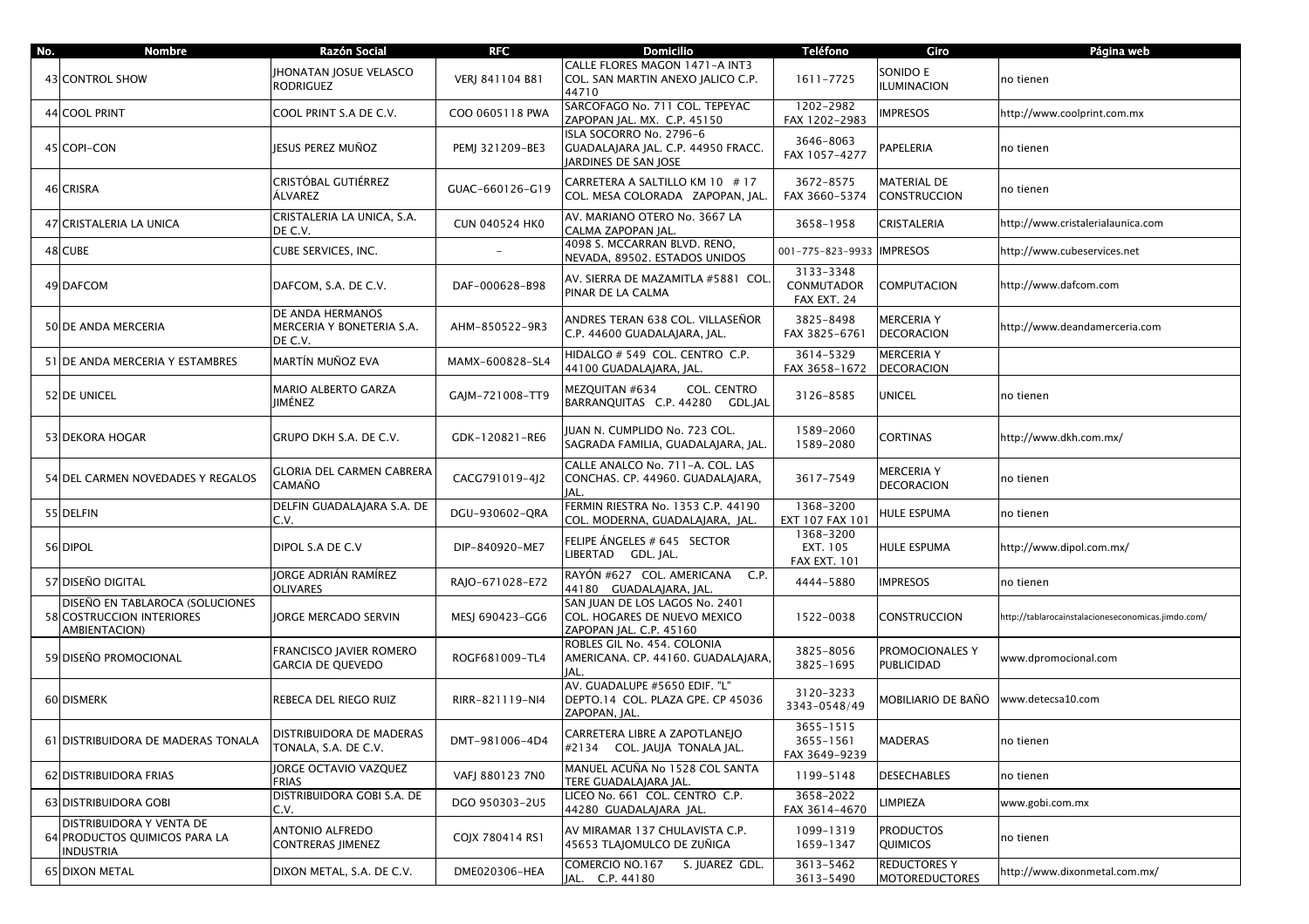| No. | <b>Nombre</b>                                                                 | Razón Social                                             | <b>RFC</b>            | <b>Domicilio</b>                                                                          | <b>Teléfono</b>                                        | Giro                                         | Página web                                         |
|-----|-------------------------------------------------------------------------------|----------------------------------------------------------|-----------------------|-------------------------------------------------------------------------------------------|--------------------------------------------------------|----------------------------------------------|----------------------------------------------------|
|     | 43 CONTROL SHOW                                                               | JHONATAN JOSUE VELASCO<br><b>RODRIGUEZ</b>               | VERJ 841104 B81       | CALLE FLORES MAGON 1471-A INT3<br>COL. SAN MARTIN ANEXO JALICO C.P.<br>44710              | 1611-7725                                              | SONIDO E<br><b>ILUMINACION</b>               | no tienen                                          |
|     | 44 COOL PRINT                                                                 | COOL PRINT S.A DE C.V.                                   | COO 0605118 PWA       | SARCOFAGO No. 711 COL. TEPEYAC<br>ZAPOPAN JAL. MX. C.P. 45150                             | 1202-2982<br>FAX 1202-2983                             | <b>IMPRESOS</b>                              | http://www.coolprint.com.mx                        |
|     | 45 COPI-CON                                                                   | JESUS PEREZ MUÑOZ                                        | PEMJ 321209-BE3       | ISLA SOCORRO No. 2796-6<br>GUADALAJARA JAL. C.P. 44950 FRACC.<br>JARDINES DE SAN JOSE     | 3646-8063<br>FAX 1057-4277                             | <b>PAPELERIA</b>                             | no tienen                                          |
|     | 46 CRISRA                                                                     | CRISTÓBAL GUTIÉRREZ<br>ÁLVAREZ                           | GUAC-660126-G19       | CARRETERA A SALTILLO KM 10 # 17<br>COL. MESA COLORADA ZAPOPAN. IAL.                       | 3672-8575<br>FAX 3660-5374                             | <b>MATERIAL DE</b><br><b>CONSTRUCCION</b>    | no tienen                                          |
|     | 47 CRISTALERIA LA UNICA                                                       | CRISTALERIA LA UNICA, S.A.<br>DE C.V.                    | <b>CUN 040524 HK0</b> | AV. MARIANO OTERO No. 3667 LA<br>CALMA ZAPOPAN JAL.                                       | 3658-1958                                              | CRISTALERIA                                  | http://www.cristalerialaunica.com                  |
|     | 48 CUBE                                                                       | CUBE SERVICES, INC.                                      |                       | 4098 S. MCCARRAN BLVD. RENO,<br>NEVADA, 89502. ESTADOS UNIDOS                             | 001-775-823-9933                                       | <b>IMPRESOS</b>                              | http://www.cubeservices.net                        |
|     | 49 DAFCOM                                                                     | DAFCOM, S.A. DE C.V.                                     | DAF-000628-B98        | AV. SIERRA DE MAZAMITLA #5881 COL.<br>PINAR DE LA CALMA                                   | 3133-3348<br>CONMUTADOR<br>FAX EXT. 24                 | <b>COMPUTACION</b>                           | http://www.dafcom.com                              |
|     | 50 DE ANDA MERCERIA                                                           | DE ANDA HERMANOS<br>MERCERIA Y BONETERIA S.A.<br>DE C.V. | AHM-850522-9R3        | ANDRES TERAN 638 COL. VILLASEÑOR<br>C.P. 44600 GUADALAJARA, JAL.                          | 3825-8498<br>FAX 3825-6761                             | MERCERIA Y<br><b>DECORACION</b>              | http://www.deandamerceria.com                      |
|     | 51 DE ANDA MERCERIA Y ESTAMBRES                                               | MARTÍN MUÑOZ EVA                                         | MAMX-600828-SL4       | HIDALGO # 549 COL. CENTRO C.P.<br>44100 GUADALAJARA, JAL.                                 | 3614-5329<br>FAX 3658-1672                             | <b>MERCERIA Y</b><br><b>DECORACION</b>       |                                                    |
|     | 52 DE UNICEL                                                                  | MARIO ALBERTO GARZA<br>JIMÉNEZ                           | GAJM-721008-TT9       | COL. CENTRO<br>MEZQUITAN #634<br>BARRANQUITAS C.P. 44280 GDL.JAL                          | 3126-8585                                              | UNICEL                                       | no tienen                                          |
|     | 53 DEKORA HOGAR                                                               | GRUPO DKH S.A. DE C.V.                                   | GDK-120821-RE6        | IUAN N. CUMPLIDO No. 723 COL.<br>SAGRADA FAMILIA, GUADALAJARA, JAL.                       | 1589-2060<br>1589-2080                                 | CORTINAS                                     | http://www.dkh.com.mx/                             |
|     | 54 DEL CARMEN NOVEDADES Y REGALOS                                             | <b>GLORIA DEL CARMEN CABRERA</b><br>CAMAÑO               | CACG791019-4J2        | CALLE ANALCO No. 711-A. COL. LAS<br>CONCHAS. CP. 44960. GUADALAJARA,<br>JAL.              | 3617-7549                                              | MERCERIA Y<br><b>DECORACION</b>              | no tienen                                          |
|     | 55 DELFIN                                                                     | DELFIN GUADALAJARA S.A. DE<br>C.V.                       | DGU-930602-QRA        | FERMIN RIESTRA No. 1353 C.P. 44190<br>COL. MODERNA, GUADALAJARA, JAL.                     | 1368-3200<br>EXT 107 FAX 101                           | HULE ESPUMA                                  | no tienen                                          |
|     | 56 DIPOL                                                                      | DIPOL S.A DE C.V                                         | DIP-840920-ME7        | FELIPE ÁNGELES # 645 SECTOR<br>LIBERTAD GDL. JAL.                                         | 1368-3200<br>EXT. 105<br><b>FAX EXT. 101</b>           | HULE ESPUMA                                  | http://www.dipol.com.mx/                           |
|     | 57 DISEÑO DIGITAL                                                             | JORGE ADRIÁN RAMÍREZ<br><b>OLIVARES</b>                  | RAJO-671028-E72       | RAYÓN #627 COL. AMERICANA C.P.<br>44180 GUADALAJARA, JAL.                                 | 4444-5880                                              | <b>IMPRESOS</b>                              | no tienen                                          |
|     | DISEÑO EN TABLAROCA (SOLUCIONES<br>58 COSTRUCCION INTERIORES<br>AMBIENTACION) | JORGE MERCADO SERVIN                                     | MESJ 690423-GG6       | SAN JUAN DE LOS LAGOS No. 2401<br>COL. HOGARES DE NUEVO MEXICO<br>ZAPOPAN JAL. C.P. 45160 | 1522-0038                                              | <b>CONSTRUCCION</b>                          | http://tablarocainstalacioneseconomicas.jimdo.com/ |
|     | 59 DISEÑO PROMOCIONAL                                                         | <b>FRANCISCO IAVIER ROMERO</b><br>GARCIA DE QUEVEDO      | ROGF681009-TL4        | ROBLES GIL No. 454. COLONIA<br>AMERICANA. CP. 44160. GUADALAJARA,<br>IAL.                 | 3825-8056<br>3825-1695                                 | PROMOCIONALES Y<br>PUBLICIDAD                | www.dpromocional.com                               |
|     | 60 DISMERK                                                                    | REBECA DEL RIEGO RUIZ                                    | RIRR-821119-NI4       | AV. GUADALUPE #5650 EDIF. "L"<br>DEPTO.14 COL. PLAZA GPE. CP 45036<br>ZAPOPAN, JAL.       | 3120-3233<br>3343-0548/49                              | MOBILIARIO DE BAÑO                           | www.detecsa10.com                                  |
|     | 61 DISTRIBUIDORA DE MADERAS TONALA                                            | <b>DISTRIBUIDORA DE MADERAS</b><br>TONALA, S.A. DE C.V.  | DMT-981006-4D4        | CARRETERA LIBRE A ZAPOTLANEJO<br>#2134 COL. JAUJA TONALA JAL.                             | $\overline{3655} - 1515$<br>3655-1561<br>FAX 3649-9239 | <b>MADERAS</b>                               | no tienen                                          |
|     | 62 DISTRIBUIDORA FRIAS                                                        | JORGE OCTAVIO VAZQUEZ<br><b>FRIAS</b>                    | VAFJ 880123 7N0       | MANUEL ACUÑA No 1528 COL SANTA<br>TERE GUADALAJARA JAL.                                   | 1199-5148                                              | <b>DESECHABLES</b>                           | no tienen                                          |
|     | 63 DISTRIBUIDORA GOBI                                                         | DISTRIBUIDORA GOBI S.A. DE<br>C.V.                       | DGO 950303-2U5        | LICEO No. 661 COL. CENTRO C.P.<br>44280 GUADALAJARA JAL.                                  | 3658-2022<br>FAX 3614-4670                             | <b>LIMPIEZA</b>                              | www.gobi.com.mx                                    |
|     | DISTRIBUIDORA Y VENTA DE<br>64 PRODUCTOS QUIMICOS PARA LA<br>INDUSTRIA        | ANTONIO ALFREDO<br>CONTRERAS JIMENEZ                     | COJX 780414 RS1       | AV MIRAMAR 137 CHULAVISTA C.P.<br>45653 TLAJOMULCO DE ZUÑIGA                              | 1099-1319<br>1659-1347                                 | <b>PRODUCTOS</b><br>QUIMICOS                 | no tienen                                          |
|     | 65 DIXON METAL                                                                | DIXON METAL, S.A. DE C.V.                                | DME020306-HEA         | COMERCIO NO.167 S. JUAREZ GDL.<br>JAL. C.P. 44180                                         | 3613-5462<br>3613-5490                                 | <b>REDUCTORES Y</b><br><b>MOTOREDUCTORES</b> | http://www.dixonmetal.com.mx/                      |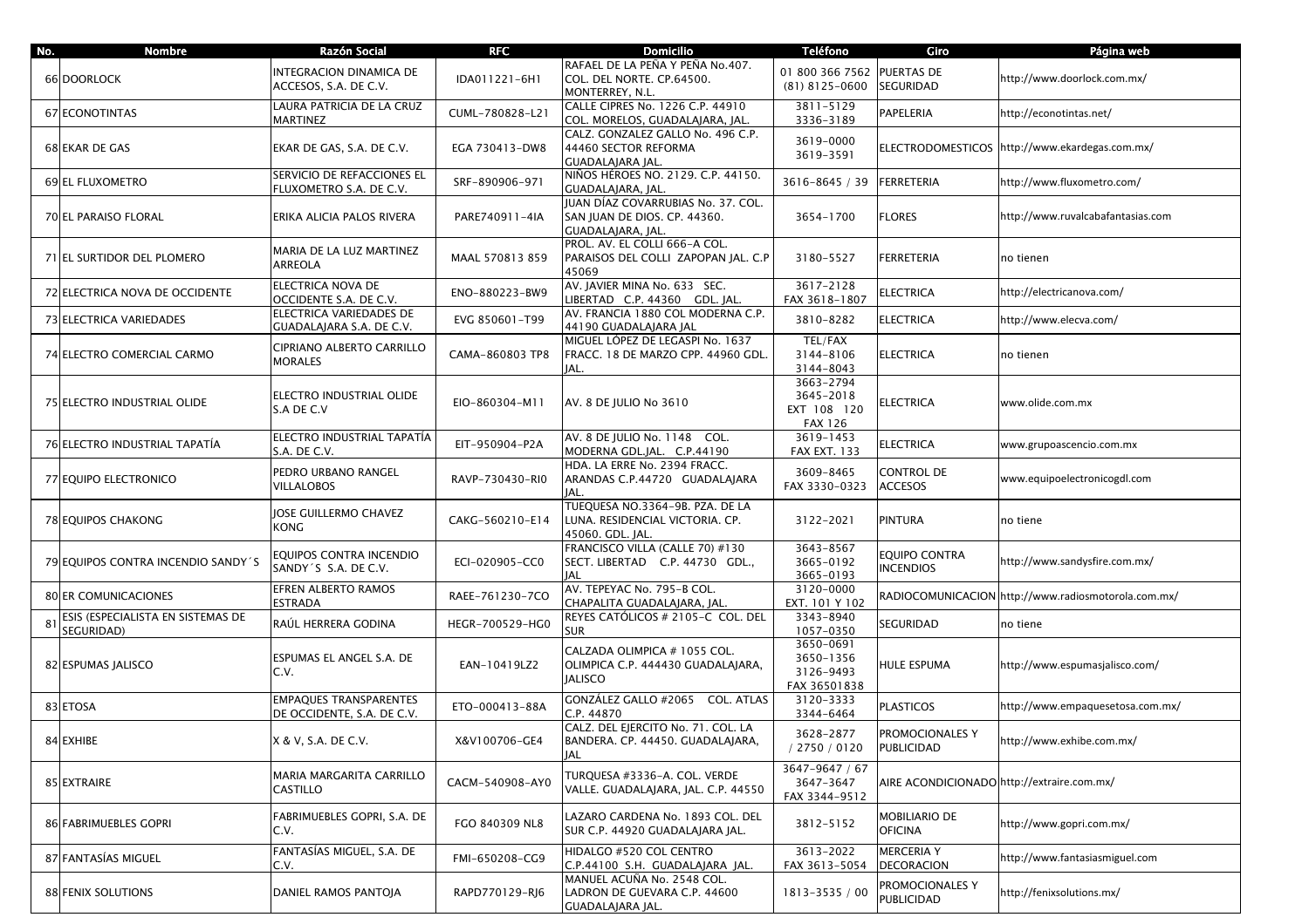| No. | Nombre                                          | Razón Social                                                | <b>RFC</b>      | <b>Domicilio</b>                                                                        | <b>Teléfono</b>                                         | Giro                                       | Página web                                          |
|-----|-------------------------------------------------|-------------------------------------------------------------|-----------------|-----------------------------------------------------------------------------------------|---------------------------------------------------------|--------------------------------------------|-----------------------------------------------------|
|     | 66 DOORLOCK                                     | INTEGRACION DINAMICA DE<br>ACCESOS, S.A. DE C.V.            | IDA011221-6H1   | RAFAEL DE LA PEÑA Y PEÑA No.407.<br>COL. DEL NORTE. CP.64500.<br>MONTERREY, N.L.        | 01 800 366 7562<br>$(81)$ 8125-0600                     | <b>PUERTAS DE</b><br>SEGURIDAD             | http://www.doorlock.com.mx/                         |
|     | 67 ECONOTINTAS                                  | LAURA PATRICIA DE LA CRUZ<br><b>MARTINEZ</b>                | CUML-780828-L21 | CALLE CIPRES No. 1226 C.P. 44910<br>COL. MORELOS, GUADALAJARA, JAL.                     | 3811-5129<br>3336-3189                                  | PAPELERIA                                  | http://econotintas.net/                             |
|     | 68 EKAR DE GAS                                  | EKAR DE GAS, S.A. DE C.V.                                   | EGA 730413-DW8  | CALZ. GONZALEZ GALLO No. 496 C.P.<br>44460 SECTOR REFORMA<br>GUADALAJARA JAL.           | 3619-0000<br>3619-3591                                  |                                            | ELECTRODOMESTICOS http://www.ekardegas.com.mx/      |
|     | 69 EL FLUXOMETRO                                | SERVICIO DE REFACCIONES EL<br>FLUXOMETRO S.A. DE C.V.       | SRF-890906-971  | NIÑOS HÉROES NO. 2129. C.P. 44150.<br>GUADALAJARA, JAL.                                 | 3616-8645 / 39                                          | <b>FERRETERIA</b>                          | http://www.fluxometro.com/                          |
|     | 70 EL PARAISO FLORAL                            | ERIKA ALICIA PALOS RIVERA                                   | PARE740911-4IA  | JUAN DÍAZ COVARRUBIAS No. 37. COL.<br>SAN JUAN DE DIOS. CP. 44360.<br>GUADALAJARA, JAL. | 3654-1700                                               | <b>FLORES</b>                              | http://www.ruvalcabafantasias.com                   |
|     | 71 EL SURTIDOR DEL PLOMERO                      | MARIA DE LA LUZ MARTINEZ<br>ARREOLA                         | MAAL 570813 859 | PROL. AV. EL COLLI 666-A COL.<br>PARAISOS DEL COLLI ZAPOPAN JAL. C.P<br>45069           | 3180-5527                                               | FERRETERIA                                 | no tienen                                           |
|     | 72 ELECTRICA NOVA DE OCCIDENTE                  | ELECTRICA NOVA DE<br>OCCIDENTE S.A. DE C.V.                 | ENO-880223-BW9  | AV. JAVIER MINA No. 633 SEC.<br>LIBERTAD C.P. 44360 GDL. JAL.                           | 3617-2128<br>FAX 3618-1807                              | ELECTRICA                                  | http://electricanova.com/                           |
|     | 73 ELECTRICA VARIEDADES                         | ELECTRICA VARIEDADES DE<br>GUADALAJARA S.A. DE C.V.         | EVG 850601-T99  | AV. FRANCIA 1880 COL MODERNA C.P.<br>44190 GUADALAJARA JAL                              | 3810-8282                                               | <b>ELECTRICA</b>                           | http://www.elecva.com/                              |
|     | 74 ELECTRO COMERCIAL CARMO                      | CIPRIANO ALBERTO CARRILLO<br><b>MORALES</b>                 | CAMA-860803 TP8 | MIGUEL LÓPEZ DE LEGASPI No. 1637<br>FRACC. 18 DE MARZO CPP. 44960 GDL.<br>JAL.          | TEL/FAX<br>3144-8106<br>3144-8043                       | <b>ELECTRICA</b>                           | no tienen                                           |
|     | 75 ELECTRO INDUSTRIAL OLIDE                     | ELECTRO INDUSTRIAL OLIDE<br>S.A DE C.V                      | EIO-860304-M11  | AV. 8 DE JULIO No 3610                                                                  | 3663-2794<br>3645-2018<br>EXT 108 120<br><b>FAX 126</b> | <b>ELECTRICA</b>                           | www.olide.com.mx                                    |
|     | 76 ELECTRO INDUSTRIAL TAPATÍA                   | ELECTRO INDUSTRIAL TAPATÍA<br>S.A. DE C.V.                  | EIT-950904-P2A  | AV. 8 DE JULIO No. 1148 COL.<br>MODERNA GDL.JAL. C.P.44190                              | 3619-1453<br><b>FAX EXT. 133</b>                        | <b>ELECTRICA</b>                           | www.grupoascencio.com.mx                            |
|     | 77 EQUIPO ELECTRONICO                           | PEDRO URBANO RANGEL<br>VILLALOBOS                           | RAVP-730430-RI0 | HDA. LA ERRE No. 2394 FRACC.<br>ARANDAS C.P.44720 GUADALAJARA<br>IAL.                   | 3609-8465<br>FAX 3330-0323                              | CONTROL DE<br><b>ACCESOS</b>               | www.equipoelectronicogdl.com                        |
|     | 78 EQUIPOS CHAKONG                              | JOSE GUILLERMO CHAVEZ<br>KONG                               | CAKG-560210-E14 | TUEQUESA NO.3364-9B. PZA. DE LA<br>LUNA. RESIDENCIAL VICTORIA. CP.<br>45060. GDL. JAL.  | 3122-2021                                               | PINTURA                                    | no tiene                                            |
|     | 79 EQUIPOS CONTRA INCENDIO SANDY 'S             | EQUIPOS CONTRA INCENDIO<br>SANDY´S S.A. DE C.V.             | ECI-020905-CC0  | FRANCISCO VILLA (CALLE 70) #130<br>SECT. LIBERTAD C.P. 44730 GDL.,<br>IAL               | 3643-8567<br>3665-0192<br>3665-0193                     | <b>EQUIPO CONTRA</b><br><b>INCENDIOS</b>   | http://www.sandysfire.com.mx/                       |
|     | <b>80 ER COMUNICACIONES</b>                     | EFREN ALBERTO RAMOS<br><b>ESTRADA</b>                       | RAEE-761230-7CO | AV. TEPEYAC No. 795-B COL.<br>CHAPALITA GUADALAJARA, JAL.                               | 3120-0000<br>EXT. 101 Y 102                             |                                            | RADIOCOMUNICACION http://www.radiosmotorola.com.mx/ |
| 81  | ESIS (ESPECIALISTA EN SISTEMAS DE<br>SEGURIDAD) | RAÚL HERRERA GODINA                                         | HEGR-700529-HG0 | REYES CATÓLICOS # 2105-C COL. DEL<br><b>SUR</b>                                         | 3343-8940<br>1057-0350                                  | SEGURIDAD                                  | no tiene                                            |
|     | 82 ESPUMAS JALISCO                              | ESPUMAS EL ANGEL S.A. DE<br>C.V.                            | EAN-10419LZ2    | CALZADA OLIMPICA # 1055 COL.<br>OLIMPICA C.P. 444430 GUADALAJARA,<br><b>JALISCO</b>     | 3650-0691<br>3650-1356<br>3126-9493<br>FAX 36501838     | HULE ESPUMA                                | http://www.espumasjalisco.com/                      |
|     | 83 ETOSA                                        | <b>EMPAQUES TRANSPARENTES</b><br>DE OCCIDENTE, S.A. DE C.V. | ETO-000413-88A  | GONZÁLEZ GALLO #2065 COL. ATLAS<br>C.P. 44870                                           | 3120-3333<br>3344-6464                                  | <b>PLASTICOS</b>                           | http://www.empaquesetosa.com.mx/                    |
|     | 84 EXHIBE                                       | X & V, S.A. DE C.V.                                         | X&V100706-GE4   | CALZ. DEL EJERCITO No. 71. COL. LA<br>BANDERA. CP. 44450. GUADALAJARA,<br>IAL           | 3628-2877<br>/ 2750 / 0120                              | PROMOCIONALES Y<br>PUBLICIDAD              | http://www.exhibe.com.mx/                           |
|     | 85 EXTRAIRE                                     | MARIA MARGARITA CARRILLO<br>CASTILLO                        | CACM-540908-AY0 | TURQUESA #3336-A. COL. VERDE<br>VALLE. GUADALAJARA, JAL. C.P. 44550                     | 3647-9647 / 67<br>3647-3647<br>FAX 3344-9512            | AIRE ACONDICIONADO http://extraire.com.mx/ |                                                     |
|     | 86 FABRIMUEBLES GOPRI                           | FABRIMUEBLES GOPRI, S.A. DE<br>C.V.                         | FGO 840309 NL8  | LAZARO CARDENA No. 1893 COL. DEL<br>SUR C.P. 44920 GUADALAJARA JAL.                     | 3812-5152                                               | MOBILIARIO DE<br><b>OFICINA</b>            | http://www.gopri.com.mx/                            |
|     | 87 FANTASÍAS MIGUEL                             | FANTASÍAS MIGUEL, S.A. DE<br>C.V.                           | FMI-650208-CG9  | HIDALGO #520 COL CENTRO<br>C.P.44100 S.H. GUADALAJARA JAL.                              | 3613-2022<br>FAX 3613-5054                              | <b>MERCERIA Y</b><br><b>DECORACION</b>     | http://www.fantasiasmiguel.com                      |
|     | 88 FENIX SOLUTIONS                              | DANIEL RAMOS PANTOJA                                        | RAPD770129-RJ6  | MANUEL ACUÑA No. 2548 COL.<br>LADRON DE GUEVARA C.P. 44600<br><b>GUADALAJARA JAL.</b>   | 1813-3535 / 00                                          | PROMOCIONALES Y<br>PUBLICIDAD              | http://fenixsolutions.mx/                           |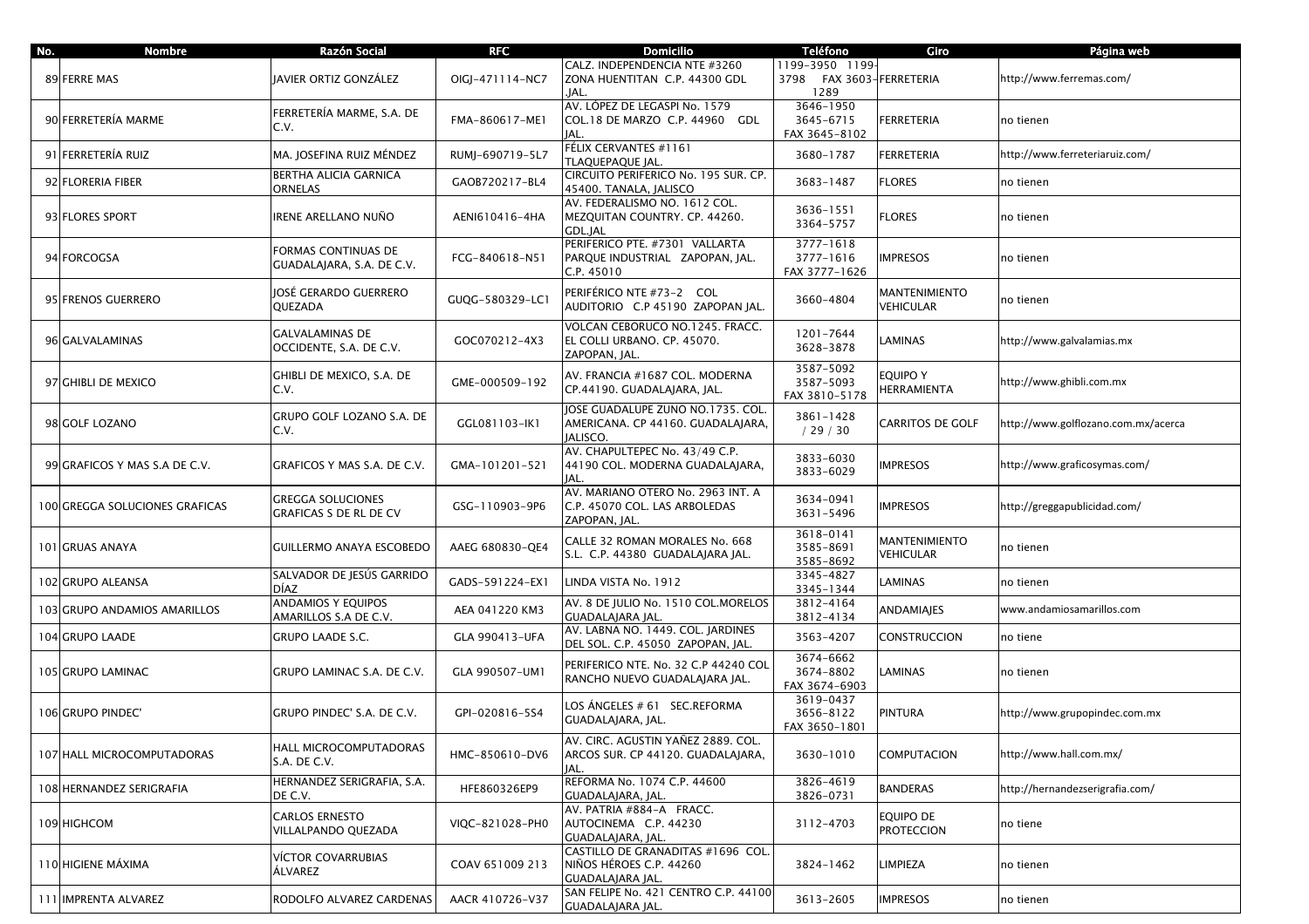| No. | <b>Nombre</b>                  | Razón Social                                       | <b>RFC</b>      | <b>Domicilio</b>                                                                    | <b>Teléfono</b>                                 | Giro                                  | Página web                          |
|-----|--------------------------------|----------------------------------------------------|-----------------|-------------------------------------------------------------------------------------|-------------------------------------------------|---------------------------------------|-------------------------------------|
|     | 89 FERRE MAS                   | JAVIER ORTIZ GONZÁLEZ                              | OIGI-471114-NC7 | CALZ. INDEPENDENCIA NTE #3260<br>ZONA HUENTITAN C.P. 44300 GDL                      | 1199-3950 1199-<br>3798 FAX 3603-FERRETERIA     |                                       | http://www.ferremas.com/            |
|     | 90 FERRETERÍA MARME            | FERRETERÍA MARME, S.A. DE<br>C.V.                  | FMA-860617-ME1  | .IAL.<br>AV. LÓPEZ DE LEGASPI No. 1579<br>COL.18 DE MARZO C.P. 44960 GDL<br>JAL.    | 1289<br>3646-1950<br>3645-6715<br>FAX 3645-8102 | <b>FERRETERIA</b>                     | no tienen                           |
|     | 91 FERRETERÍA RUIZ             | MA. JOSEFINA RUIZ MÉNDEZ                           | RUMJ-690719-5L7 | FÉLIX CERVANTES #1161<br>TLAQUEPAQUE JAL.                                           | 3680-1787                                       | FERRETERIA                            | http://www.ferreteriaruiz.com/      |
|     | 92 FLORERIA FIBER              | BERTHA ALICIA GARNICA<br>ORNELAS                   | GAOB720217-BL4  | CIRCUITO PERIFERICO No. 195 SUR. CP.<br>45400. TANALA, JALISCO                      | 3683-1487                                       | <b>FLORES</b>                         | no tienen                           |
|     | 93 FLORES SPORT                | IRENE ARELLANO NUÑO                                | AENI610416-4HA  | AV. FEDERALISMO NO. 1612 COL.<br>MEZOUITAN COUNTRY, CP. 44260.<br>GDL.JAL           | 3636-1551<br>3364-5757                          | <b>FLORES</b>                         | no tienen                           |
|     | 94 FORCOGSA                    | FORMAS CONTINUAS DE<br>GUADALAJARA, S.A. DE C.V.   | FCG-840618-N51  | PERIFERICO PTE. #7301 VALLARTA<br>PARQUE INDUSTRIAL ZAPOPAN, JAL.<br>C.P. 45010     | 3777-1618<br>3777-1616<br>FAX 3777-1626         | <b>IMPRESOS</b>                       | no tienen                           |
|     | 95 FRENOS GUERRERO             | JOSÉ GERARDO GUERRERO<br>QUEZADA                   | GUQG-580329-LC1 | PERIFÉRICO NTE #73-2 COL<br>AUDITORIO C.P 45190 ZAPOPAN JAL.                        | 3660-4804                                       | MANTENIMIENTO<br><b>VEHICULAR</b>     | no tienen                           |
|     | 96 GALVALAMINAS                | <b>GALVALAMINAS DE</b><br>OCCIDENTE, S.A. DE C.V.  | GOC070212-4X3   | VOLCAN CEBORUCO NO.1245. FRACC.<br>EL COLLI URBANO. CP. 45070.<br>ZAPOPAN, JAL.     | 1201-7644<br>3628-3878                          | <b>AMINAS</b>                         | http://www.galvalamias.mx           |
|     | 97 GHIBLI DE MEXICO            | GHIBLI DE MEXICO, S.A. DE<br>C.V.                  | GME-000509-192  | AV. FRANCIA #1687 COL. MODERNA<br>CP.44190. GUADALAJARA, JAL.                       | 3587-5092<br>3587-5093<br>FAX 3810-5178         | <b>EQUIPO Y</b><br><b>HERRAMIENTA</b> | http://www.ghibli.com.mx            |
|     | 98 GOLF LOZANO                 | GRUPO GOLF LOZANO S.A. DE<br>C.V.                  | GGL081103-IK1   | JOSE GUADALUPE ZUNO NO.1735. COL.<br>AMERICANA. CP 44160. GUADALAJARA,<br>JALISCO.  | 3861-1428<br>/29/30                             | <b>CARRITOS DE GOLF</b>               | http://www.golflozano.com.mx/acerca |
|     | 99 GRAFICOS Y MAS S.A DE C.V.  | GRAFICOS Y MAS S.A. DE C.V.                        | GMA-101201-521  | AV. CHAPULTEPEC No. 43/49 C.P.<br>44190 COL. MODERNA GUADALAJARA,<br>JAL.           | 3833-6030<br>3833-6029                          | <b>IMPRESOS</b>                       | http://www.graficosymas.com/        |
|     | 100 GREGGA SOLUCIONES GRAFICAS | <b>GREGGA SOLUCIONES</b><br>GRAFICAS S DE RL DE CV | GSG-110903-9P6  | AV. MARIANO OTERO No. 2963 INT. A<br>C.P. 45070 COL. LAS ARBOLEDAS<br>ZAPOPAN, JAL. | 3634-0941<br>3631-5496                          | IMPRESOS                              | http://greggapublicidad.com/        |
|     | 101 GRUAS ANAYA                | <b>GUILLERMO ANAYA ESCOBEDO</b>                    | AAEG 680830-QE4 | CALLE 32 ROMAN MORALES No. 668<br>S.L. C.P. 44380 GUADALAJARA JAL.                  | 3618-0141<br>3585-8691<br>3585-8692             | <b>MANTENIMIENTO</b><br>VEHICULAR     | no tienen                           |
|     | 102 GRUPO ALEANSA              | SALVADOR DE JESÚS GARRIDO<br>DÍAZ                  | GADS-591224-EX1 | LINDA VISTA No. 1912                                                                | 3345-4827<br>3345-1344                          | LAMINAS                               | no tienen                           |
|     | 103 GRUPO ANDAMIOS AMARILLOS   | ANDAMIOS Y EQUIPOS<br>AMARILLOS S.A DE C.V.        | AEA 041220 KM3  | AV. 8 DE JULIO No. 1510 COL.MORELOS<br>GUADALAJARA JAL.                             | 3812-4164<br>3812-4134                          | ANDAMIAJES                            | www.andamiosamarillos.com           |
|     | 104 GRUPO LAADE                | GRUPO LAADE S.C.                                   | GLA 990413-UFA  | AV. LABNA NO. 1449. COL. JARDINES<br>DEL SOL. C.P. 45050 ZAPOPAN, JAL.              | 3563-4207                                       | CONSTRUCCION                          | no tiene                            |
|     | 105 GRUPO LAMINAC              | GRUPO LAMINAC S.A. DE C.V.                         | GLA 990507-UM1  | PERIFERICO NTE. No. 32 C.P 44240 COL<br>RANCHO NUEVO GUADALAJARA JAL.               | 3674-6662<br>3674-8802<br>FAX 3674-6903         | LAMINAS                               | no tienen                           |
|     | 106 GRUPO PINDEC'              | GRUPO PINDEC' S.A. DE C.V.                         | GPI-020816-5S4  | LOS ÁNGELES # 61 SEC.REFORMA<br>GUADALAJARA, JAL.                                   | 3619-0437<br>3656-8122<br>FAX 3650-1801         | PINTURA                               | http://www.grupopindec.com.mx       |
|     | 107 HALL MICROCOMPUTADORAS     | HALL MICROCOMPUTADORAS<br>S.A. DE C.V.             | HMC-850610-DV6  | AV. CIRC. AGUSTIN YAÑEZ 2889. COL.<br>ARCOS SUR. CP 44120. GUADALAJARA,<br>IAL.     | 3630-1010                                       | COMPUTACION                           | http://www.hall.com.mx/             |
|     | 108 HERNANDEZ SERIGRAFIA       | HERNANDEZ SERIGRAFIA, S.A.<br>DE C.V.              | HFE860326EP9    | REFORMA No. 1074 C.P. 44600<br>GUADALAJARA, JAL.                                    | 3826-4619<br>3826-0731                          | BANDERAS                              | http://hernandezserigrafia.com/     |
|     | 109 HIGHCOM                    | <b>CARLOS ERNESTO</b><br>VILLALPANDO QUEZADA       | VIQC-821028-PH0 | AV. PATRIA #884-A FRACC.<br>AUTOCINEMA C.P. 44230<br>GUADALAJARA, JAL.              | 3112-4703                                       | Equipo de<br><b>PROTECCION</b>        | no tiene                            |
|     | 110 HIGIENE MÁXIMA             | VÍCTOR COVARRUBIAS<br>ÀLVAREZ                      | COAV 651009 213 | CASTILLO DE GRANADITAS #1696 COL.<br>NIÑOS HÉROES C.P. 44260<br>GUADALAJARA JAL.    | 3824-1462                                       | LIMPIEZA                              | no tienen                           |
|     | 111 IMPRENTA ALVAREZ           | RODOLFO ALVAREZ CARDENAS                           | AACR 410726-V37 | SAN FELIPE No. 421 CENTRO C.P. 44100<br><b>GUADALAIARA IAL.</b>                     | 3613-2605                                       | <b>IMPRESOS</b>                       | no tienen                           |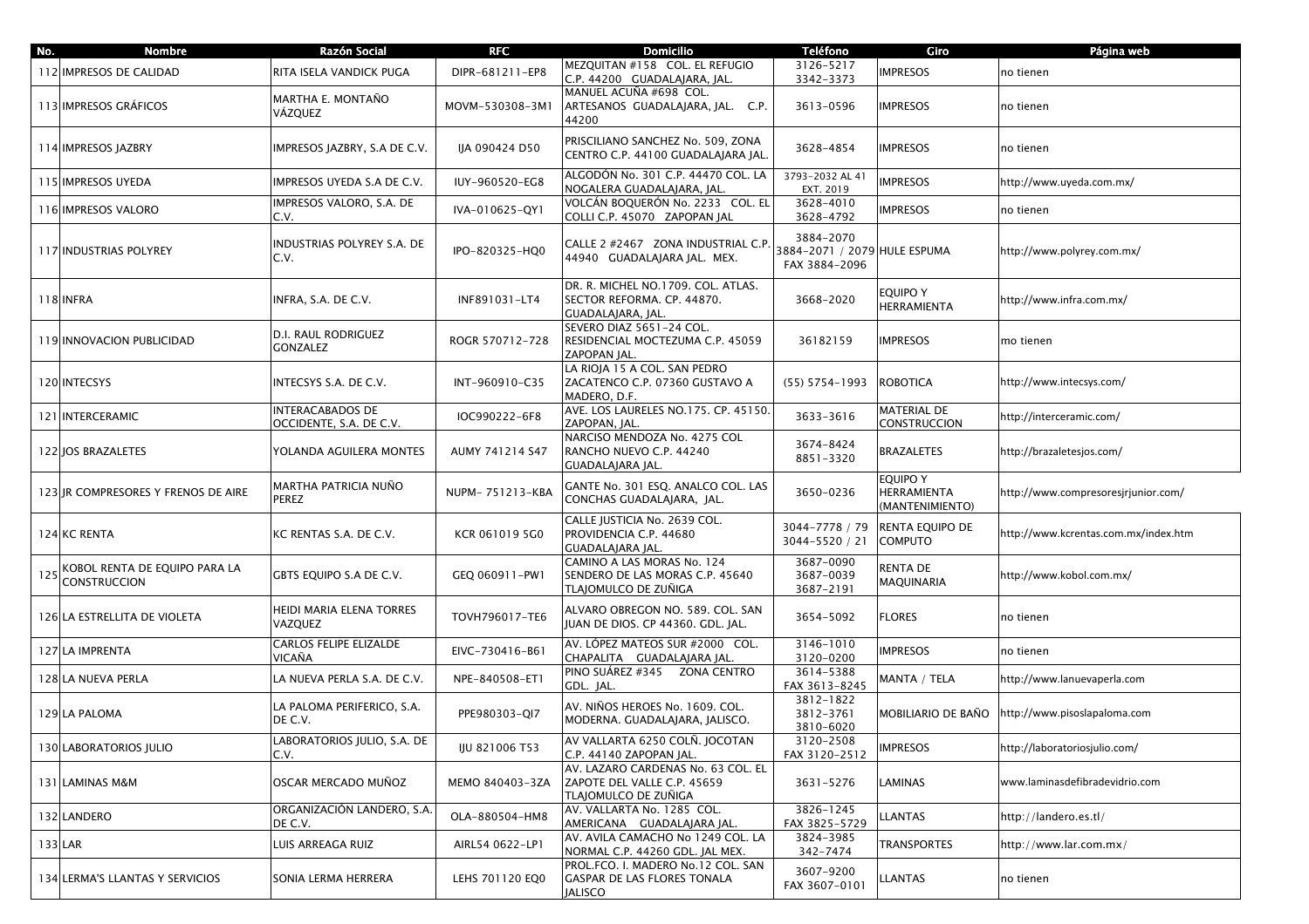| No. | <b>Nombre</b>                                        | Razón Social                                       | <b>RFC</b>      | <b>Domicilio</b>                                                                          | <b>Teléfono</b>                                            | Giro                                              | Página web                           |
|-----|------------------------------------------------------|----------------------------------------------------|-----------------|-------------------------------------------------------------------------------------------|------------------------------------------------------------|---------------------------------------------------|--------------------------------------|
|     | 112 IMPRESOS DE CALIDAD                              | RITA ISELA VANDICK PUGA                            | DIPR-681211-EP8 | MEZQUITAN #158 COL. EL REFUGIO<br>C.P. 44200 GUADALAJARA, JAL.                            | 3126-5217<br>3342-3373                                     | <b>IMPRESOS</b>                                   | no tienen                            |
|     | 113 IMPRESOS GRÁFICOS                                | MARTHA E. MONTAÑO<br>VÁZQUEZ                       | MOVM-530308-3M1 | MANUEL ACUÑA #698 COL.<br>ARTESANOS GUADALAJARA, JAL. C.P.<br>44200                       | 3613-0596                                                  | <b>IMPRESOS</b>                                   | no tienen                            |
|     | 114 IMPRESOS JAZBRY                                  | IMPRESOS JAZBRY, S.A DE C.V.                       | IJA 090424 D50  | PRISCILIANO SANCHEZ No. 509, ZONA<br>CENTRO C.P. 44100 GUADALAJARA JAL.                   | 3628-4854                                                  | <b>IMPRESOS</b>                                   | no tienen                            |
|     | 115 IMPRESOS UYEDA                                   | IMPRESOS UYEDA S.A DE C.V.                         | IUY-960520-EG8  | ALGODÓN No. 301 C.P. 44470 COL. LA<br>NOGALERA GUADALAJARA, JAL.                          | 3793-2032 AL 41<br>EXT. 2019                               | <b>IMPRESOS</b>                                   | http://www.uyeda.com.mx/             |
|     | 116 IMPRESOS VALORO                                  | <b>IMPRESOS VALORO, S.A. DE</b><br>C.V.            | IVA-010625-QY1  | VOLCÁN BOQUERÓN No. 2233   COL. EL<br>COLLI C.P. 45070 ZAPOPAN JAL                        | 3628-4010<br>3628-4792                                     | <b>IMPRESOS</b>                                   | no tienen                            |
|     | <b>117 INDUSTRIAS POLYREY</b>                        | INDUSTRIAS POLYREY S.A. DE<br>C.V.                 | IPO-820325-HQ0  | CALLE 2 #2467 ZONA INDUSTRIAL C.P.<br>44940 GUADALAJARA JAL. MEX.                         | 3884-2070<br>3884-2071 / 2079 HULE ESPUMA<br>FAX 3884-2096 |                                                   | http://www.polyrey.com.mx/           |
|     | 118 INFRA                                            | INFRA, S.A. DE C.V.                                | INF891031-LT4   | DR. R. MICHEL NO.1709. COL. ATLAS.<br>SECTOR REFORMA. CP. 44870.<br>GUADALAJARA, JAL.     | 3668-2020                                                  | <b>EQUIPO Y</b><br>HERRAMIENTA                    | http://www.infra.com.mx/             |
|     | 119 INNOVACION PUBLICIDAD                            | D.I. RAUL RODRIGUEZ<br><b>GONZALEZ</b>             | ROGR 570712-728 | SEVERO DIAZ 5651-24 COL.<br>RESIDENCIAL MOCTEZUMA C.P. 45059<br>ZAPOPAN JAL.              | 36182159                                                   | <b>IMPRESOS</b>                                   | mo tienen                            |
|     | 120 INTECSYS                                         | INTECSYS S.A. DE C.V.                              | INT-960910-C35  | LA RIOJA 15 A COL. SAN PEDRO<br>ZACATENCO C.P. 07360 GUSTAVO A<br>MADERO. D.F.            | $(55) 5754 - 1993$                                         | <b>ROBOTICA</b>                                   | http://www.intecsys.com/             |
|     | 121 INTERCERAMIC                                     | <b>INTERACABADOS DE</b><br>OCCIDENTE, S.A. DE C.V. | IOC990222-6F8   | AVE. LOS LAURELES NO.175. CP. 45150.<br>ZAPOPAN, JAL.                                     | 3633-3616                                                  | <b>MATERIAL DE</b><br>CONSTRUCCION                | http://interceramic.com/             |
|     | 122 JOS BRAZALETES                                   | YOLANDA AGUILERA MONTES                            | AUMY 741214 S47 | NARCISO MENDOZA No. 4275 COL<br>RANCHO NUEVO C.P. 44240<br>GUADALAJARA JAL.               | 3674-8424<br>8851-3320                                     | <b>BRAZALETES</b>                                 | http://brazaletesjos.com/            |
|     | 123 JR COMPRESORES Y FRENOS DE AIRE                  | MARTHA PATRICIA NUÑO<br><b>PEREZ</b>               | NUPM-751213-KBA | GANTE No. 301 ESQ. ANALCO COL. LAS<br>CONCHAS GUADALAJARA, JAL.                           | 3650-0236                                                  | <b>EQUIPO Y</b><br>HERRAMIENTA<br>(MANTENIMIENTO) | http://www.compresoresiriunior.com/  |
|     | 124 KC RENTA                                         | KC RENTAS S.A. DE C.V.                             | KCR 061019 5G0  | CALLE JUSTICIA No. 2639 COL.<br>PROVIDENCIA C.P. 44680<br>GUADALAJARA JAL.                | 3044-7778 / 79<br>3044-5520 / 21                           | RENTA EQUIPO DE<br><b>COMPUTO</b>                 | http://www.kcrentas.com.mx/index.htm |
| 125 | KOBOL RENTA DE EQUIPO PARA LA<br><b>CONSTRUCCION</b> | GBTS EQUIPO S.A DE C.V.                            | GEQ 060911-PW1  | CAMINO A LAS MORAS No. 124<br>SENDERO DE LAS MORAS C.P. 45640<br>TLAJOMULCO DE ZUÑIGA     | 3687-0090<br>3687-0039<br>3687-2191                        | RENTA DE<br>MAQUINARIA                            | http://www.kobol.com.mx/             |
|     | 126 LA ESTRELLITA DE VIOLETA                         | HEIDI MARIA ELENA TORRES<br>VAZQUEZ                | TOVH796017-TE6  | ALVARO OBREGON NO. 589. COL. SAN<br>JUAN DE DIOS. CP 44360. GDL. JAL.                     | 3654-5092                                                  | FLORES                                            | no tienen                            |
|     | 127 LA IMPRENTA                                      | <b>CARLOS FELIPE ELIZALDE</b><br>VICAÑA            | EIVC-730416-B61 | AV. LÓPEZ MATEOS SUR #2000 COL.<br>CHAPALITA GUADALAJARA JAL                              | 3146-1010<br>3120-0200                                     | <b>IMPRESOS</b>                                   | no tienen                            |
|     | 128 LA NUEVA PERLA                                   | LA NUEVA PERLA S.A. DE C.V.                        | NPE-840508-ET1  | PINO SUÁREZ #345 ZONA CENTRO<br>GDL. JAL.                                                 | 3614-5388<br>FAX 3613-8245                                 | MANTA / TELA                                      | http://www.lanuevaperla.com          |
|     | 129 LA PALOMA                                        | LA PALOMA PERIFERICO, S.A.<br>DE C.V.              | PPE980303-QI7   | AV. NIÑOS HEROES No. 1609. COL.<br>MODERNA. GUADALAJARA, JALISCO.                         | 3812-1822<br>3812-3761<br>3810-6020                        | MOBILIARIO DE BAÑO                                | http://www.pisoslapaloma.com         |
|     | 130 LABORATORIOS JULIO                               | LABORATORIOS JULIO, S.A. DE<br>C.V.                | IJU 821006 T53  | AV VALLARTA 6250 COLÑ. JOCOTAN<br>C.P. 44140 ZAPOPAN JAL.                                 | 3120-2508<br>FAX 3120-2512                                 | <b>IMPRESOS</b>                                   | http://laboratoriosjulio.com/        |
|     | 131 LAMINAS M&M                                      | OSCAR MERCADO MUÑOZ                                | MEMO 840403-3ZA | AV. LAZARO CARDENAS No. 63 COL. EL<br>ZAPOTE DEL VALLE C.P. 45659<br>TLAJOMULCO DE ZUÑIGA | 3631-5276                                                  | LAMINAS                                           | www.laminasdefibradevidrio.com       |
|     | 132 LANDERO                                          | ORGANIZACIÓN LANDERO, S.A.<br>DE C.V.              | OLA-880504-HM8  | AV. VALLARTA No. 1285 COL.<br>AMERICANA GUADALAJARA JAL.                                  | 3826-1245<br>FAX 3825-5729                                 | <b>LANTAS</b>                                     | http://landero.es.tl/                |
|     | 133 LAR                                              | LUIS ARREAGA RUIZ                                  | AIRL54 0622-LP1 | AV. AVILA CAMACHO No 1249 COL. LA<br>NORMAL C.P. 44260 GDL. JAL MEX.                      | 3824-3985<br>342-7474                                      | TRANSPORTES                                       | http://www.lar.com.mx/               |
|     | 134 LERMA'S LLANTAS Y SERVICIOS                      | SONIA LERMA HERRERA                                | LEHS 701120 EO0 | PROL.FCO. I. MADERO No.12 COL. SAN<br>GASPAR DE LAS FLORES TONALA<br>JALISCO              | 3607-9200<br>FAX 3607-0101                                 | LLANTAS                                           | no tienen                            |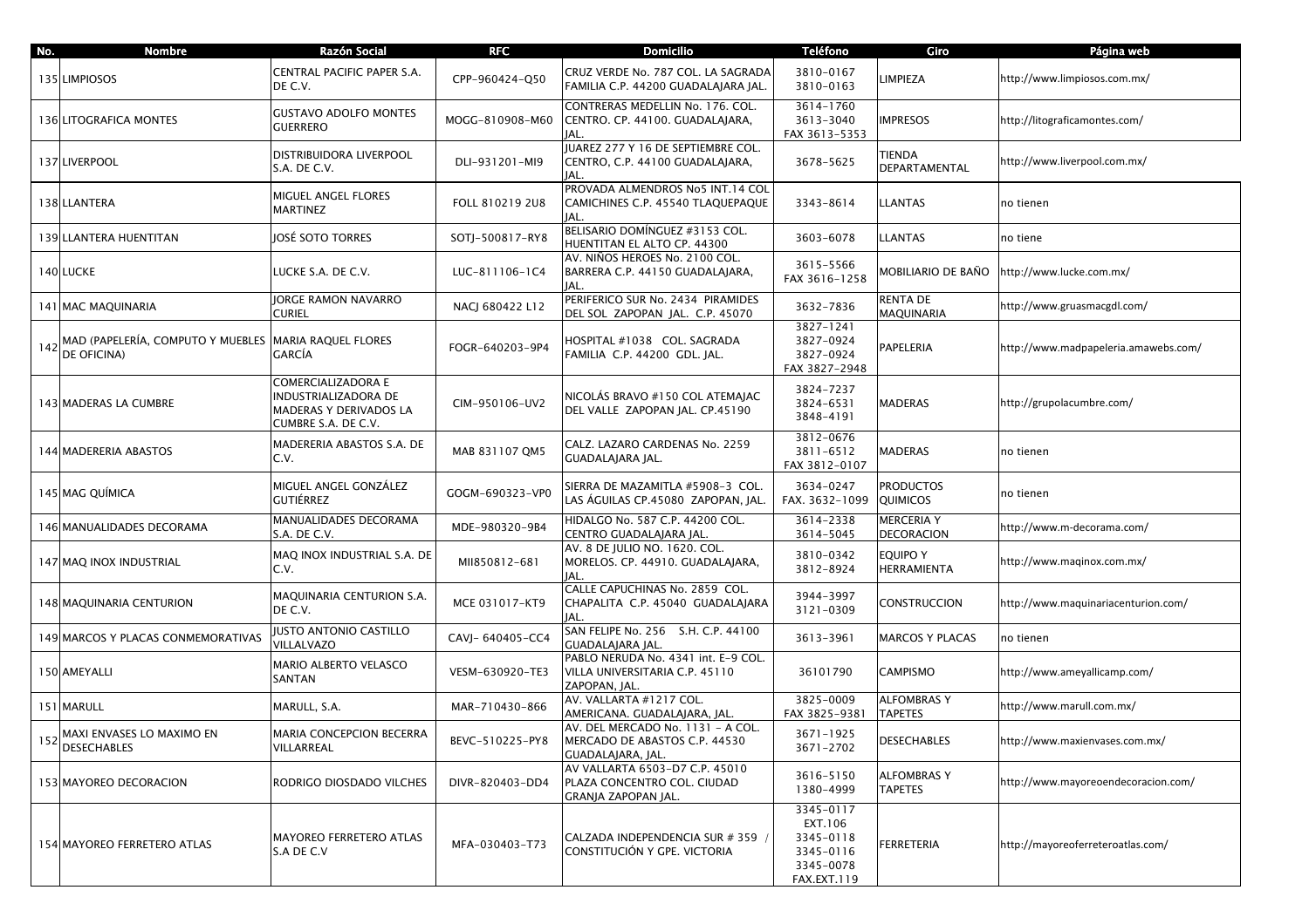| No. | <b>Nombre</b>                                                            | Razón Social                                                                               | <b>RFC</b>       | <b>Domicilio</b>                                                                        | <b>Teléfono</b>                                                            | Giro                                | Página web                           |
|-----|--------------------------------------------------------------------------|--------------------------------------------------------------------------------------------|------------------|-----------------------------------------------------------------------------------------|----------------------------------------------------------------------------|-------------------------------------|--------------------------------------|
|     | 135 LIMPIOSOS                                                            | CENTRAL PACIFIC PAPER S.A.<br>DE C.V.                                                      | CPP-960424-Q50   | CRUZ VERDE No. 787 COL. LA SAGRADA<br>FAMILIA C.P. 44200 GUADALAJARA JAL.               | 3810-0167<br>3810-0163                                                     | <b>LIMPIEZA</b>                     | http://www.limpiosos.com.mx/         |
|     | 136 LITOGRAFICA MONTES                                                   | <b>GUSTAVO ADOLFO MONTES</b><br><b>GUERRERO</b>                                            | MOGG-810908-M60  | CONTRERAS MEDELLIN No. 176. COL.<br>CENTRO. CP. 44100. GUADALAJARA,                     | 3614-1760<br>3613-3040<br>FAX 3613-5353                                    | <b>IMPRESOS</b>                     | http://litograficamontes.com/        |
|     | 137 LIVERPOOL                                                            | DISTRIBUIDORA LIVERPOOL<br>S.A. DE C.V.                                                    | DLI-931201-MI9   | JUAREZ 277 Y 16 DE SEPTIEMBRE COL.<br>CENTRO, C.P. 44100 GUADALAJARA,<br>JAL.           | 3678-5625                                                                  | TIENDA<br>DEPARTAMENTAL             | http://www.liverpool.com.mx/         |
|     | 138 LLANTERA                                                             | MIGUEL ANGEL FLORES<br>MARTINEZ                                                            | FOLL 810219 2U8  | PROVADA ALMENDROS No5 INT.14 COL<br>CAMICHINES C.P. 45540 TLAQUEPAQUE<br>IAL.           | 3343-8614                                                                  | LLANTAS                             | no tienen                            |
|     | 139 LLANTERA HUENTITAN                                                   | OSÉ SOTO TORRES                                                                            | SOTJ-500817-RY8  | BELISARIO DOMÍNGUEZ #3153 COL.<br>HUENTITAN EL ALTO CP. 44300                           | 3603-6078                                                                  | LLANTAS                             | no tiene                             |
|     | 140 LUCKE                                                                | LUCKE S.A. DE C.V.                                                                         | LUC-811106-1C4   | AV. NIÑOS HEROES No. 2100 COL.<br>BARRERA C.P. 44150 GUADALAJARA,<br>JAL.               | 3615-5566<br>FAX 3616-1258                                                 | MOBILIARIO DE BAÑO                  | http://www.lucke.com.mx/             |
|     | 141 MAC MAQUINARIA                                                       | <b>JORGE RAMON NAVARRO</b><br>CURIEL                                                       | NACJ 680422 L12  | PERIFERICO SUR No. 2434 PIRAMIDES<br>DEL SOL ZAPOPAN JAL. C.P. 45070                    | 3632-7836                                                                  | RENTA DE<br>MAQUINARIA              | http://www.gruasmacgdl.com/          |
|     | 142 MAD (PAPELERÍA, COMPUTO Y MUEBLES MARIA RAQUEL FLORES<br>DE OFICINA) |                                                                                            | FOGR-640203-9P4  | HOSPITAL #1038 COL. SAGRADA<br>FAMILIA C.P. 44200 GDL. JAL.                             | 3827-1241<br>3827-0924<br>3827-0924<br>FAX 3827-2948                       | PAPELERIA                           | http://www.madpapeleria.amawebs.com/ |
|     | 143 MADERAS LA CUMBRE                                                    | COMERCIALIZADORA E<br>NDUSTRIALIZADORA DE<br>MADERAS Y DERIVADOS LA<br>CUMBRE S.A. DE C.V. | CIM-950106-UV2   | NICOLÁS BRAVO #150 COL ATEMAIAC<br>DEL VALLE ZAPOPAN JAL. CP.45190                      | 3824-7237<br>3824-6531<br>3848-4191                                        | MADERAS                             | http://grupolacumbre.com/            |
|     | 144 MADERERIA ABASTOS                                                    | MADERERIA ABASTOS S.A. DE<br>C.V.                                                          | MAB 831107 QM5   | CALZ. LAZARO CARDENAS No. 2259<br>GUADALAJARA JAL.                                      | 3812-0676<br>3811-6512<br>FAX 3812-0107                                    | MADERAS                             | no tienen                            |
|     | 145 MAG QUÍMICA                                                          | MIGUEL ANGEL GONZÁLEZ<br>GUTIÉRREZ                                                         | GOGM-690323-VP0  | SIERRA DE MAZAMITLA #5908-3 COL.<br>LAS ÁGUILAS CP.45080 ZAPOPAN, JAL.                  | 3634-0247<br>FAX. 3632-1099                                                | <b>PRODUCTOS</b><br>QUIMICOS        | no tienen                            |
|     | 146 MANUALIDADES DECORAMA                                                | MANUALIDADES DECORAMA<br>S.A. DE C.V.                                                      | MDE-980320-9B4   | HIDALGO No. 587 C.P. 44200 COL.<br>CENTRO GUADALAJARA JAL.                              | 3614-2338<br>3614-5045                                                     | <b>MERCERIA Y</b><br>DECORACION     | http://www.m-decorama.com/           |
|     | 147 MAQ INOX INDUSTRIAL                                                  | MAQ INOX INDUSTRIAL S.A. DE<br>C.V.                                                        | MII850812-681    | AV. 8 DE JULIO NO. 1620. COL.<br>MORELOS. CP. 44910. GUADALAJARA,<br>JAL.               | 3810-0342<br>3812-8924                                                     | equipo y<br>HERRAMIENTA             | http://www.maqinox.com.mx/           |
|     | 148 MAQUINARIA CENTURION                                                 | MAQUINARIA CENTURION S.A.<br>DE C.V.                                                       | MCE 031017-KT9   | CALLE CAPUCHINAS No. 2859 COL.<br>CHAPALITA C.P. 45040 GUADALAJARA<br>IAL.              | 3944-3997<br>3121-0309                                                     | CONSTRUCCION                        | http://www.maquinariacenturion.com/  |
|     | 149 MARCOS Y PLACAS CONMEMORATIVAS                                       | JUSTO ANTONIO CASTILLO<br>VILLALVAZO                                                       | CAVJ- 640405-CC4 | SAN FELIPE No. 256 S.H. C.P. 44100<br>GUADALAJARA JAL.                                  | 3613-3961                                                                  | MARCOS Y PLACAS                     | no tienen                            |
|     | 150 AMEYALLI                                                             | MARIO ALBERTO VELASCO<br>SANTAN                                                            | VESM-630920-TE3  | PABLO NERUDA No. 4341 int. E-9 COL.<br>VILLA UNIVERSITARIA C.P. 45110<br>ZAPOPAN, JAL.  | 36101790                                                                   | <b>CAMPISMO</b>                     | http://www.ameyallicamp.com/         |
|     | 151 MARULL                                                               | MARULL, S.A.                                                                               | MAR-710430-866   | AV. VALLARTA #1217 COL.<br>AMERICANA. GUADALAJARA, JAL.                                 | 3825-0009<br>FAX 3825-9381                                                 | <b>ALFOMBRASY</b><br><b>TAPETES</b> | http://www.marull.com.mx/            |
|     | MAXI ENVASES LO MAXIMO EN<br>152 DESECHABLES                             | MARIA CONCEPCION BECERRA<br>VILLARREAL                                                     | BEVC-510225-PY8  | AV. DEL MERCADO No. 1131 - A COL.<br>MERCADO DE ABASTOS C.P. 44530<br>GUADALAJARA, JAL. | $3671 - 1925$<br>3671-2702                                                 | <b>DESECHABLES</b>                  | http://www.maxienvases.com.mx/       |
|     | 153 MAYOREO DECORACION                                                   | RODRIGO DIOSDADO VILCHES                                                                   | DIVR-820403-DD4  | AV VALLARTA 6503-D7 C.P. 45010<br>PLAZA CONCENTRO COL. CIUDAD<br>GRANJA ZAPOPAN JAL.    | 3616-5150<br>1380-4999                                                     | ALFOMBRAS Y<br>TAPETES              | http://www.mayoreoendecoracion.com/  |
|     | 154 MAYOREO FERRETERO ATLAS                                              | <b>MAYOREO FERRETERO ATLAS</b><br>S.A DE C.V                                               | MFA-030403-T73   | CALZADA INDEPENDENCIA SUR # 359<br>CONSTITUCIÓN Y GPE. VICTORIA                         | 3345-0117<br>EXT.106<br>3345-0118<br>3345-0116<br>3345-0078<br>FAX.EXT.119 | ERRETERIA                           | http://mayoreoferreteroatlas.com/    |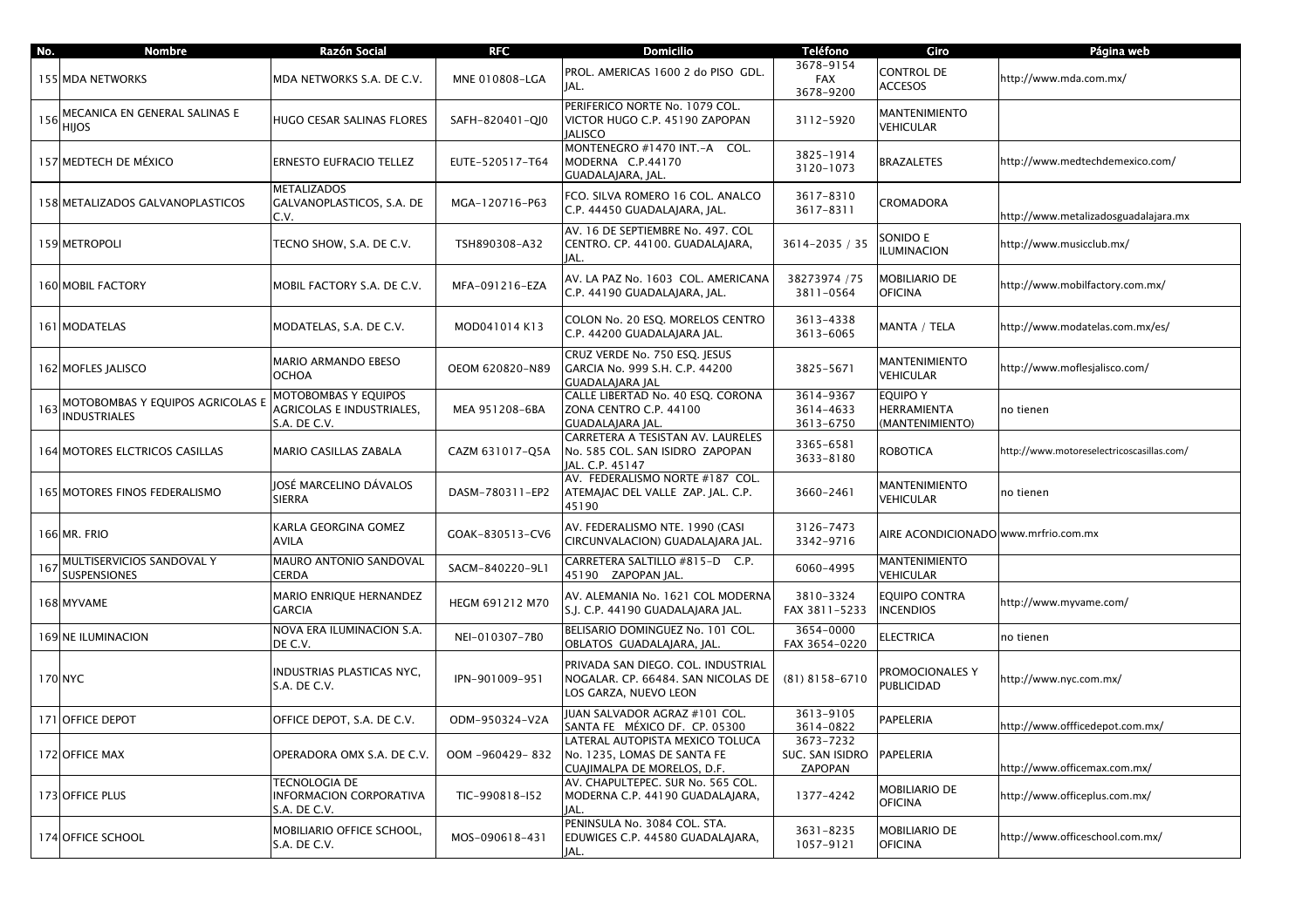| No.     | <b>Nombre</b>                                           | Razón Social                                                      | <b>RFC</b>      | <b>Domicilio</b>                                                                                  | <b>Teléfono</b>                                   | Giro                                              | Página web                                |
|---------|---------------------------------------------------------|-------------------------------------------------------------------|-----------------|---------------------------------------------------------------------------------------------------|---------------------------------------------------|---------------------------------------------------|-------------------------------------------|
|         | 155 MDA NETWORKS                                        | MDA NETWORKS S.A. DE C.V.                                         | MNE 010808-LGA  | PROL. AMERICAS 1600 2 do PISO GDL.<br>IAL.                                                        | 3678-9154<br><b>FAX</b><br>3678-9200              | CONTROL DE<br><b>ACCESOS</b>                      | http://www.mda.com.mx/                    |
| 156     | MECANICA EN GENERAL SALINAS E<br><b>HIJOS</b>           | HUGO CESAR SALINAS FLORES                                         | SAFH-820401-QJ0 | PERIFERICO NORTE No. 1079 COL.<br>VICTOR HUGO C.P. 45190 ZAPOPAN<br><b>JALISCO</b>                | 3112-5920                                         | <b>MANTENIMIENTO</b><br>VEHICULAR                 |                                           |
|         | 157 MEDTECH DE MÉXICO                                   | ERNESTO EUFRACIO TELLEZ                                           | EUTE-520517-T64 | MONTENEGRO #1470 INT.-A COL.<br>MODERNA C.P.44170<br>GUADALAJARA, JAL.                            | 3825-1914<br>3120-1073                            | BRAZALETES                                        | http://www.medtechdemexico.com/           |
|         | 158 METALIZADOS GALVANOPLASTICOS                        | METALIZADOS<br>GALVANOPLASTICOS, S.A. DE<br>C.V.                  | MGA-120716-P63  | FCO. SILVA ROMERO 16 COL. ANALCO<br>C.P. 44450 GUADALAJARA, JAL.                                  | 3617-8310<br>3617-8311                            | CROMADORA                                         | http://www.metalizadosguadalajara.mx      |
|         | 159 METROPOLI                                           | TECNO SHOW, S.A. DE C.V.                                          | TSH890308-A32   | AV. 16 DE SEPTIEMBRE No. 497. COL<br>CENTRO. CP. 44100. GUADALAJARA,<br>JAL.                      | 3614-2035 / 35                                    | SONIDO E<br><b>ILUMINACION</b>                    | http://www.musicclub.mx/                  |
|         | 160 MOBIL FACTORY                                       | MOBIL FACTORY S.A. DE C.V.                                        | MFA-091216-EZA  | AV. LA PAZ No. 1603 COL. AMERICANA<br>C.P. 44190 GUADALAJARA, JAL.                                | 38273974 / 75<br>3811-0564                        | MOBILIARIO DE<br><b>OFICINA</b>                   | http://www.mobilfactory.com.mx/           |
|         | 161 MODATELAS                                           | MODATELAS, S.A. DE C.V.                                           | MOD041014 K13   | COLON No. 20 ESQ. MORELOS CENTRO<br>C.P. 44200 GUADALAJARA JAL.                                   | 3613-4338<br>3613-6065                            | MANTA / TELA                                      | http://www.modatelas.com.mx/es/           |
|         | 162 MOFLES JALISCO                                      | MARIO ARMANDO EBESO<br>OCHOA                                      | OEOM 620820-N89 | CRUZ VERDE No. 750 ESQ. JESUS<br>GARCIA No. 999 S.H. C.P. 44200<br><b>GUADALAJARA JAL</b>         | 3825-5671                                         | MANTENIMIENTO<br>VEHICULAR                        | http://www.moflesjalisco.com/             |
| 163     | MOTOBOMBAS Y EQUIPOS AGRICOLAS E<br><b>INDUSTRIALES</b> | MOTOBOMBAS Y EQUIPOS<br>AGRICOLAS E INDUSTRIALES,<br>S.A. DE C.V. | MEA 951208-6BA  | CALLE LIBERTAD No. 40 ESQ. CORONA<br>ZONA CENTRO C.P. 44100<br>GUADALAJARA JAL                    | 3614-9367<br>3614-4633<br>3613-6750               | <b>EQUIPO Y</b><br>HERRAMIENTA<br>(MANTENIMIENTO) | no tienen                                 |
|         | 164 MOTORES ELCTRICOS CASILLAS                          | MARIO CASILLAS ZABALA                                             | CAZM 631017-Q5A | CARRETERA A TESISTAN AV. LAURELES<br>No. 585 COL. SAN ISIDRO ZAPOPAN<br>JAL. C.P. 45147           | 3365-6581<br>3633-8180                            | ROBOTICA                                          | http://www.motoreselectricoscasillas.com/ |
|         | 165 MOTORES FINOS FEDERALISMO                           | JOSÉ MARCELINO DÁVALOS<br>SIERRA                                  | DASM-780311-EP2 | AV. FEDERALISMO NORTE #187 COL.<br>ATEMAJAC DEL VALLE ZAP. JAL. C.P.<br>45190                     | 3660-2461                                         | <b>MANTENIMIENTO</b><br>VEHICULAR                 | no tienen                                 |
|         | 166 MR. FRIO                                            | KARLA GEORGINA GOMEZ<br><b>AVILA</b>                              | GOAK-830513-CV6 | AV. FEDERALISMO NTE. 1990 (CASI<br>CIRCUNVALACION) GUADALAJARA JAL.                               | 3126-7473<br>3342-9716                            | AIRE ACONDICIONADO www.mrfrio.com.mx              |                                           |
| 167     | MULTISERVICIOS SANDOVAL Y<br><b>SUSPENSIONES</b>        | MAURO ANTONIO SANDOVAL<br>CERDA                                   | SACM-840220-9L1 | CARRETERA SALTILLO #815-D C.P.<br>45190 ZAPOPAN JAL.                                              | 6060-4995                                         | <b>MANTENIMIENTO</b><br>VEHICULAR                 |                                           |
|         | 168 MYVAME                                              | MARIO ENRIQUE HERNANDEZ<br><b>GARCIA</b>                          | HEGM 691212 M70 | AV. ALEMANIA No. 1621 COL MODERNA<br>S.J. C.P. 44190 GUADALAJARA JAL.                             | 3810-3324<br>FAX 3811-5233                        | EQUIPO CONTRA<br><b>INCENDIOS</b>                 | http://www.myvame.com/                    |
|         | 169 NE ILUMINACION                                      | NOVA ERA ILUMINACION S.A.<br>DE C.V.                              | NEI-010307-7B0  | BELISARIO DOMINGUEZ No. 101 COL.<br>OBLATOS GUADALAJARA, JAL.                                     | 3654-0000<br>FAX 3654-0220                        | <b>ELECTRICA</b>                                  | no tienen                                 |
| 170 NYC |                                                         | INDUSTRIAS PLASTICAS NYC,<br>S.A. DE C.V.                         | IPN-901009-951  | PRIVADA SAN DIEGO. COL. INDUSTRIAL<br>NOGALAR. CP. 66484. SAN NICOLAS DE<br>LOS GARZA, NUEVO LEON | $(81)$ 8158-6710                                  | PROMOCIONALES Y<br><b>PUBLICIDAD</b>              | http://www.nyc.com.mx/                    |
|         | 171 OFFICE DEPOT                                        | OFFICE DEPOT, S.A. DE C.V.                                        | ODM-950324-V2A  | IUAN SALVADOR AGRAZ #101 COL.<br>SANTA FE MÉXICO DF. CP. 05300                                    | 3613-9105<br>3614-0822                            | PAPELERIA                                         | http://www.offficedepot.com.mx/           |
|         | 172 OFFICE MAX                                          | OPERADORA OMX S.A. DE C.V.                                        | OOM-960429-832  | LATERAL AUTOPISTA MEXICO TOLUCA<br>No. 1235, LOMAS DE SANTA FE<br>CUAJIMALPA DE MORELOS, D.F.     | 3673-7232<br>SUC. SAN ISIDRO PAPELERIA<br>ZAPOPAN |                                                   | http://www.officemax.com.mx/              |
|         | 173 OFFICE PLUS                                         | TECNOLOGIA DE<br>INFORMACION CORPORATIVA<br>S.A. DE C.V.          | TIC-990818-I52  | AV. CHAPULTEPEC. SUR No. 565 COL.<br>MODERNA C.P. 44190 GUADALAJARA,<br>JAL.                      | 1377-4242                                         | MOBILIARIO DE<br><b>OFICINA</b>                   | http://www.officeplus.com.mx/             |
|         | 174 OFFICE SCHOOL                                       | MOBILIARIO OFFICE SCHOOL,<br>S.A. DE C.V.                         | MOS-090618-431  | PENINSULA No. 3084 COL. STA.<br>EDUWIGES C.P. 44580 GUADALAJARA,<br>JAL.                          | 3631-8235<br>1057-9121                            | MOBILIARIO DE<br><b>OFICINA</b>                   | http://www.officeschool.com.mx/           |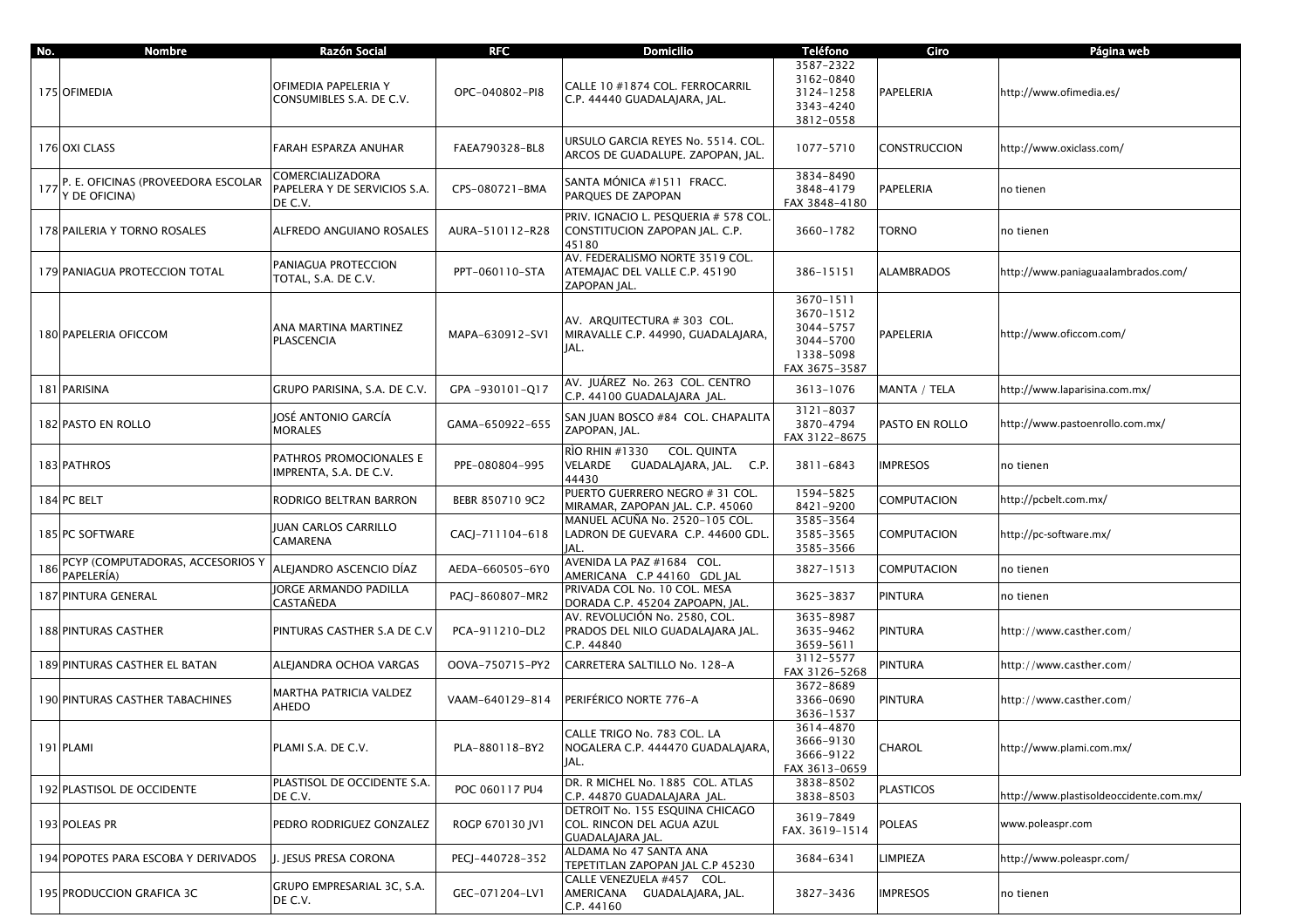| No. | <b>Nombre</b>                                       | Razón Social                                                | <b>RFC</b>      | <b>Domicilio</b>                                                                 | <b>Teléfono</b>                                                                | Giro               | Página web                              |
|-----|-----------------------------------------------------|-------------------------------------------------------------|-----------------|----------------------------------------------------------------------------------|--------------------------------------------------------------------------------|--------------------|-----------------------------------------|
|     | 175 OFIMEDIA                                        | OFIMEDIA PAPELERIA Y<br>CONSUMIBLES S.A. DE C.V.            | OPC-040802-PI8  | CALLE 10 #1874 COL. FERROCARRIL<br>C.P. 44440 GUADALAJARA, JAL.                  | 3587-2322<br>3162-0840<br>3124-1258<br>3343-4240<br>3812-0558                  | PAPELERIA          | http://www.ofimedia.es/                 |
|     | 176 OXI CLASS                                       | FARAH ESPARZA ANUHAR                                        | FAEA790328-BL8  | URSULO GARCIA REYES No. 5514. COL.<br>ARCOS DE GUADALUPE. ZAPOPAN, JAL.          | 1077-5710                                                                      | CONSTRUCCION       | http://www.oxiclass.com/                |
| 177 | P. E. OFICINAS (PROVEEDORA ESCOLAR<br>Y DE OFICINA) | COMERCIALIZADORA<br>PAPELERA Y DE SERVICIOS S.A.<br>DE C.V. | CPS-080721-BMA  | SANTA MÓNICA #1511 FRACC.<br>PAROUES DE ZAPOPAN                                  | 3834-8490<br>3848-4179<br>FAX 3848-4180                                        | PAPELERIA          | no tienen                               |
|     | 178 PAILERIA Y TORNO ROSALES                        | ALFREDO ANGUIANO ROSALES                                    | AURA-510112-R28 | PRIV. IGNACIO L. PESQUERIA # 578 COL.<br>CONSTITUCION ZAPOPAN JAL. C.P.<br>45180 | 3660-1782                                                                      | TORNO              | no tienen                               |
|     | 179 PANIAGUA PROTECCION TOTAL                       | PANIAGUA PROTECCION<br>TOTAL, S.A. DE C.V.                  | PPT-060110-STA  | AV. FEDERALISMO NORTE 3519 COL.<br>ATEMAJAC DEL VALLE C.P. 45190<br>ZAPOPAN JAL. | 386-15151                                                                      | <b>ALAMBRADOS</b>  | http://www.paniaguaalambrados.com/      |
|     | 180 PAPELERIA OFICCOM                               | ANA MARTINA MARTINEZ<br>PLASCENCIA                          | MAPA-630912-SV1 | AV. ARQUITECTURA # 303 COL.<br>MIRAVALLE C.P. 44990, GUADALAJARA,<br>JAL.        | 3670-1511<br>3670-1512<br>3044-5757<br>3044-5700<br>1338-5098<br>FAX 3675-3587 | PAPELERIA          | http://www.oficcom.com/                 |
|     | 181 PARISINA                                        | GRUPO PARISINA, S.A. DE C.V.                                | GPA-930101-Q17  | AV. JUÁREZ No. 263 COL. CENTRO<br>C.P. 44100 GUADALAIARA IAL.                    | 3613-1076                                                                      | MANTA / TELA       | http://www.laparisina.com.mx/           |
|     | 182 PASTO EN ROLLO                                  | IOSÉ ANTONIO GARCÍA<br><b>MORALES</b>                       | GAMA-650922-655 | SAN JUAN BOSCO #84 COL. CHAPALITA<br>ZAPOPAN, JAL.                               | 3121-8037<br>3870-4794<br>FAX 3122-8675                                        | PASTO EN ROLLO     | http://www.pastoenrollo.com.mx/         |
|     | 183 PATHROS                                         | PATHROS PROMOCIONALES E<br>IMPRENTA, S.A. DE C.V.           | PPE-080804-995  | RÌO RHIN #1330      COL. QUINTA<br>VELARDE<br>GUADALAJARA, JAL. C.P.<br>44430    | 3811-6843                                                                      | <b>IMPRESOS</b>    | no tienen                               |
|     | 184 PC BELT                                         | RODRIGO BELTRAN BARRON                                      | BEBR 850710 9C2 | PUERTO GUERRERO NEGRO # 31 COL.<br>MIRAMAR, ZAPOPAN JAL. C.P. 45060              | 1594-5825<br>8421-9200                                                         | COMPUTACION        | http://pcbelt.com.mx/                   |
|     | 185 PC SOFTWARE                                     | JUAN CARLOS CARRILLO<br>CAMARENA                            | CACJ-711104-618 | MANUEL ACUÑA No. 2520-105 COL.<br>LADRON DE GUEVARA C.P. 44600 GDL.<br>JAL.      | 3585-3564<br>3585-3565<br>3585-3566                                            | COMPUTACION        | http://pc-software.mx/                  |
| 186 | PCYP (COMPUTADORAS, ACCESORIOS Y<br>PAPELERÍA)      | ALEJANDRO ASCENCIO DÍAZ                                     | AEDA-660505-6Y0 | AVENIDA LA PAZ #1684 COL.<br>AMERICANA C.P 44160 GDL JAL                         | 3827-1513                                                                      | <b>COMPUTACION</b> | no tienen                               |
|     | 187 PINTURA GENERAL                                 | JORGE ARMANDO PADILLA<br>CASTAÑEDA                          | PACJ-860807-MR2 | PRIVADA COL No. 10 COL. MESA<br>DORADA C.P. 45204 ZAPOAPN, JAL.                  | 3625-3837                                                                      | <b>PINTURA</b>     | no tienen                               |
|     | <b>188 PINTURAS CASTHER</b>                         | PINTURAS CASTHER S.A DE C.V                                 | PCA-911210-DL2  | AV. REVOLUCIÓN No. 2580, COL.<br>PRADOS DEL NILO GUADALAJARA JAL.<br>C.P. 44840  | 3635-8987<br>3635-9462<br>3659-5611                                            | PINTURA            | http://www.casther.com/                 |
|     | <b>189 PINTURAS CASTHER EL BATAN</b>                | ALEJANDRA OCHOA VARGAS                                      | OOVA-750715-PY2 | CARRETERA SALTILLO No. 128-A                                                     | 3112-5577<br>FAX 3126-5268                                                     | PINTURA            | http://www.casther.com/                 |
|     | 190 PINTURAS CASTHER TABACHINES                     | MARTHA PATRICIA VALDEZ<br>AHEDO                             | VAAM-640129-814 | PERIFÉRICO NORTE 776-A                                                           | 3672-8689<br>3366-0690<br>3636-1537                                            | PINTURA            | http://www.casther.com/                 |
|     | 191 PLAMI                                           | PLAMI S.A. DE C.V.                                          | PLA-880118-BY2  | CALLE TRIGO No. 783 COL. LA<br>NOGALERA C.P. 444470 GUADALAJARA,<br>JAL.         | 3614-4870<br>3666-9130<br>3666-9122<br>FAX 3613-0659                           | CHAROL             | http://www.plami.com.mx/                |
|     | 192 PLASTISOL DE OCCIDENTE                          | PLASTISOL DE OCCIDENTE S.A.<br>DE C.V.                      | POC 060117 PU4  | DR. R MICHEL No. 1885 COL. ATLAS<br>C.P. 44870 GUADALAJARA JAL.                  | 3838-8502<br>3838-8503                                                         | <b>PLASTICOS</b>   | http://www.plastisoldeoccidente.com.mx/ |
|     | 193 POLEAS PR                                       | PEDRO RODRIGUEZ GONZALEZ                                    | ROGP 670130 JV1 | DETROIT No. 155 ESOUINA CHICAGO<br>COL. RINCON DEL AGUA AZUL<br>GUADALAJARA JAL. | 3619-7849<br>FAX. 3619-1514                                                    | POLEAS             | www.poleaspr.com                        |
|     | 194 POPOTES PARA ESCOBA Y DERIVADOS                 | J. JESUS PRESA CORONA                                       | PECJ-440728-352 | ALDAMA No 47 SANTA ANA<br>TEPETITLAN ZAPOPAN JAL C.P 45230                       | 3684-6341                                                                      | LIMPIEZA           | http://www.poleaspr.com/                |
|     | 195 PRODUCCION GRAFICA 3C                           | GRUPO EMPRESARIAL 3C, S.A.<br>DE C.V.                       | GEC-071204-LV1  | CALLE VENEZUELA #457 COL.<br>AMERICANA GUADALAJARA, JAL.<br>C.P. 44160           | 3827-3436                                                                      | IMPRESOS           | no tienen                               |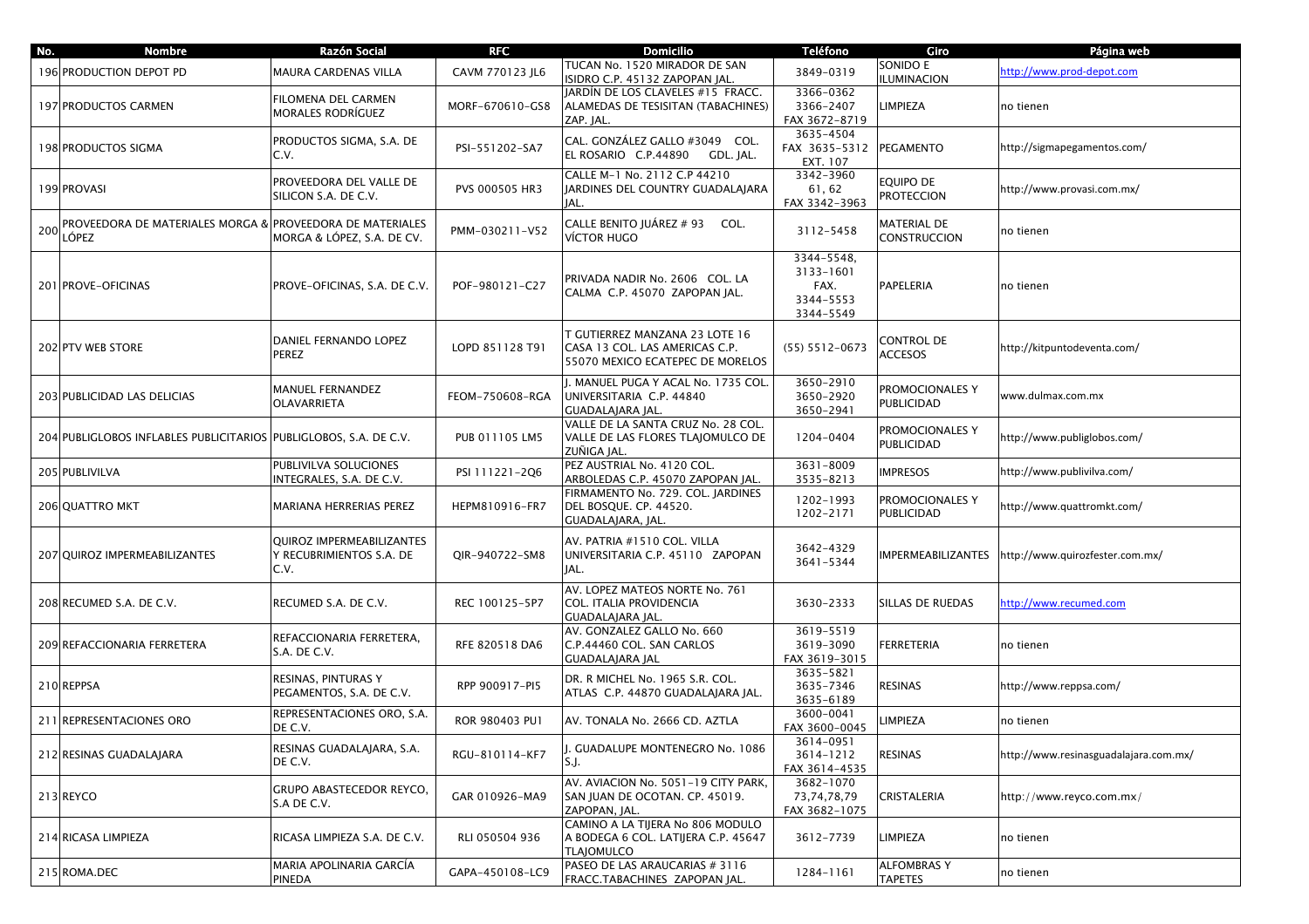| No. | <b>Nombre</b>                                                     | Razón Social                                                  | <b>RFC</b>      | <b>Domicilio</b>                                                                                     | <b>Teléfono</b>                                           | Giro                                 | Página web                            |
|-----|-------------------------------------------------------------------|---------------------------------------------------------------|-----------------|------------------------------------------------------------------------------------------------------|-----------------------------------------------------------|--------------------------------------|---------------------------------------|
|     | 196 PRODUCTION DEPOT PD                                           | MAURA CARDENAS VILLA                                          | CAVM 770123 JL6 | TUCAN No. 1520 MIRADOR DE SAN<br>ISIDRO C.P. 45132 ZAPOPAN JAL.                                      | 3849-0319                                                 | SONIDO E<br><b>ILUMINACION</b>       | http://www.prod-depot.com             |
|     | 197 PRODUCTOS CARMEN                                              | FILOMENA DEL CARMEN<br><b>MORALES RODRÍGUEZ</b>               | MORF-670610-GS8 | JARDÍN DE LOS CLAVELES #15 FRACC.<br>ALAMEDAS DE TESISITAN (TABACHINES)<br>ZAP. JAL.                 | 3366-0362<br>3366-2407<br>FAX 3672-8719                   | <b>IMPIEZA</b>                       | no tienen                             |
|     | 198 PRODUCTOS SIGMA                                               | PRODUCTOS SIGMA, S.A. DE<br>C.V.                              | PSI-551202-SA7  | CAL. GONZÁLEZ GALLO #3049 COL.<br>EL ROSARIO C.P.44890<br>GDL. JAL.                                  | 3635-4504<br>FAX 3635-5312<br>EXT. 107                    | PEGAMENTO                            | http://sigmapegamentos.com/           |
|     | 199 PROVASI                                                       | PROVEEDORA DEL VALLE DE<br>SILICON S.A. DE C.V.               | PVS 000505 HR3  | CALLE M-1 No. 2112 C.P 44210<br>JARDINES DEL COUNTRY GUADALAJARA<br>JAL.                             | 3342-3960<br>61, 62<br>FAX 3342-3963                      | equipo de<br><b>PROTECCION</b>       | http://www.provasi.com.mx/            |
| 200 | PROVEEDORA DE MATERIALES MORGA &<br>LÓPEZ                         | <b>PROVEEDORA DE MATERIALES</b><br>MORGA & LÓPEZ, S.A. DE CV. | PMM-030211-V52  | CALLE BENITO JUÁREZ # 93 COL.<br>VÍCTOR HUGO                                                         | 3112-5458                                                 | MATERIAL DE<br><b>CONSTRUCCION</b>   | no tienen                             |
|     | 201 PROVE-OFICINAS                                                | PROVE-OFICINAS, S.A. DE C.V.                                  | POF-980121-C27  | PRIVADA NADIR No. 2606 COL. LA<br>CALMA C.P. 45070 ZAPOPAN JAL.                                      | 3344-5548.<br>3133-1601<br>FAX.<br>3344-5553<br>3344-5549 | PAPELERIA                            | no tienen                             |
|     | 202 PTV WEB STORE                                                 | DANIEL FERNANDO LOPEZ<br>PEREZ                                | LOPD 851128 T91 | T GUTIERREZ MANZANA 23 LOTE 16<br>CASA 13 COL. LAS AMERICAS C.P.<br>55070 MEXICO ECATEPEC DE MORELOS | $(55) 5512 - 0673$                                        | CONTROL DE<br><b>ACCESOS</b>         | http://kitpuntodeventa.com/           |
|     | <b>203 PUBLICIDAD LAS DELICIAS</b>                                | <b>MANUEL FERNANDEZ</b><br>OLAVARRIETA                        | FEOM-750608-RGA | I. MANUEL PUGA Y ACAL No. 1735 COL<br>UNIVERSITARIA C.P. 44840<br>GUADALAJARA JAL.                   | 3650-2910<br>3650-2920<br>3650-2941                       | PROMOCIONALES Y<br>PUBLICIDAD        | www.dulmax.com.mx                     |
|     | 204 PUBLIGLOBOS INFLABLES PUBLICITARIOS PUBLIGLOBOS, S.A. DE C.V. |                                                               | PUB 011105 LM5  | VALLE DE LA SANTA CRUZ No. 28 COL.<br>VALLE DE LAS FLORES TLAJOMULCO DE<br>ZUÑIGA JAL.               | 1204-0404                                                 | PROMOCIONALES Y<br><b>PUBLICIDAD</b> | /1ttp://www.publiglobos.com           |
|     | 205 PUBLIVILVA                                                    | PUBLIVILVA SOLUCIONES<br>INTEGRALES, S.A. DE C.V.             | PSI 111221-2Q6  | PEZ AUSTRIAL No. 4120 COL.<br>ARBOLEDAS C.P. 45070 ZAPOPAN JAL                                       | 3631-8009<br>3535-8213                                    | <b>IMPRESOS</b>                      | http://www.publivilva.com/            |
|     | 206 QUATTRO MKT                                                   | MARIANA HERRERIAS PEREZ                                       | HEPM810916-FR7  | FIRMAMENTO No. 729. COL. JARDINES<br>DEL BOSQUE. CP. 44520.<br>GUADALAJARA, JAL.                     | 1202-1993<br>1202-2171                                    | PROMOCIONALES Y<br>PUBLICIDAD        | /1ttp://www.quattromkt.com            |
|     | 207 QUIROZ IMPERMEABILIZANTES                                     | QUIROZ IMPERMEABILIZANTES<br>Y RECUBRIMIENTOS S.A. DE<br>C.V. | QIR-940722-SM8  | AV. PATRIA #1510 COL. VILLA<br>UNIVERSITARIA C.P. 45110 ZAPOPAN<br>JAL.                              | 3642-4329<br>3641-5344                                    | <b>MPERMEABILIZANTES</b>             | /1ttp://www.quirozfester.com.mx       |
|     | 208 RECUMED S.A. DE C.V.                                          | RECUMED S.A. DE C.V.                                          | REC 100125-5P7  | AV. LOPEZ MATEOS NORTE No. 761<br>COL. ITALIA PROVIDENCIA<br>GUADALAJARA JAL.                        | 3630-2333                                                 | SILLAS DE RUEDAS                     | nttp://www.recumed.com                |
|     | 209 REFACCIONARIA FERRETERA                                       | REFACCIONARIA FERRETERA,<br>S.A. DE C.V.                      | RFE 820518 DA6  | AV. GONZALEZ GALLO No. 660<br>C.P.44460 COL. SAN CARLOS<br><b>GUADALAJARA JAL</b>                    | 3619-5519<br>3619-3090<br>FAX 3619-3015                   | FERRETERIA                           | no tienen                             |
|     | 210 REPPSA                                                        | RESINAS, PINTURAS Y<br>PEGAMENTOS, S.A. DE C.V.               | RPP 900917-PI5  | DR. R MICHEL No. 1965 S.R. COL.<br>ATLAS C.P. 44870 GUADALAJARA JAL.                                 | 3635-5821<br>3635-7346<br>3635-6189                       | RESINAS                              | /1ttp://www.reppsa.com                |
|     | 211 REPRESENTACIONES ORO                                          | REPRESENTACIONES ORO, S.A.<br>DE C.V.                         | ROR 980403 PU1  | AV. TONALA No. 2666 CD. AZTLA                                                                        | 3600-0041<br>FAX 3600-0045                                | <b>IMPIEZA</b>                       | no tienen                             |
|     | 212 RESINAS GUADALAJARA                                           | RESINAS GUADALAJARA, S.A.<br>DE C.V.                          | RGU-810114-KF7  | J. GUADALUPE MONTENEGRO No. 1086<br>S.J.                                                             | 3614-0951<br>3614-1212<br>FAX 3614-4535                   | RESINAS                              | http://www.resinasguadalajara.com.mx/ |
|     | 213 REYCO                                                         | GRUPO ABASTECEDOR REYCO,<br>S.A DE C.V.                       | GAR 010926-MA9  | AV. AVIACION No. 5051-19 CITY PARK,<br>SAN JUAN DE OCOTAN. CP. 45019.<br>ZAPOPAN, JAL.               | 3682-1070<br>73,74,78,79<br>FAX 3682-1075                 | CRISTALERIA                          | http://www.reyco.com.mx/              |
|     | 214 RICASA LIMPIEZA                                               | RICASA LIMPIEZA S.A. DE C.V.                                  | RLI 050504 936  | CAMINO A LA TIJERA No 806 MODULO<br>A BODEGA 6 COL. LATIJERA C.P. 45647<br><b>TLAIOMULCO</b>         | 3612-7739                                                 | LIMPIEZA                             | no tienen                             |
|     | 215 ROMA.DEC                                                      | MARIA APOLINARIA GARCÍA<br>PINEDA                             | GAPA-450108-LC9 | PASEO DE LAS ARAUCARIAS # 3116<br>FRACC.TABACHINES ZAPOPAN JAL.                                      | 1284-1161                                                 | ALFOMBRAS Y<br><b>TAPETES</b>        | no tienen                             |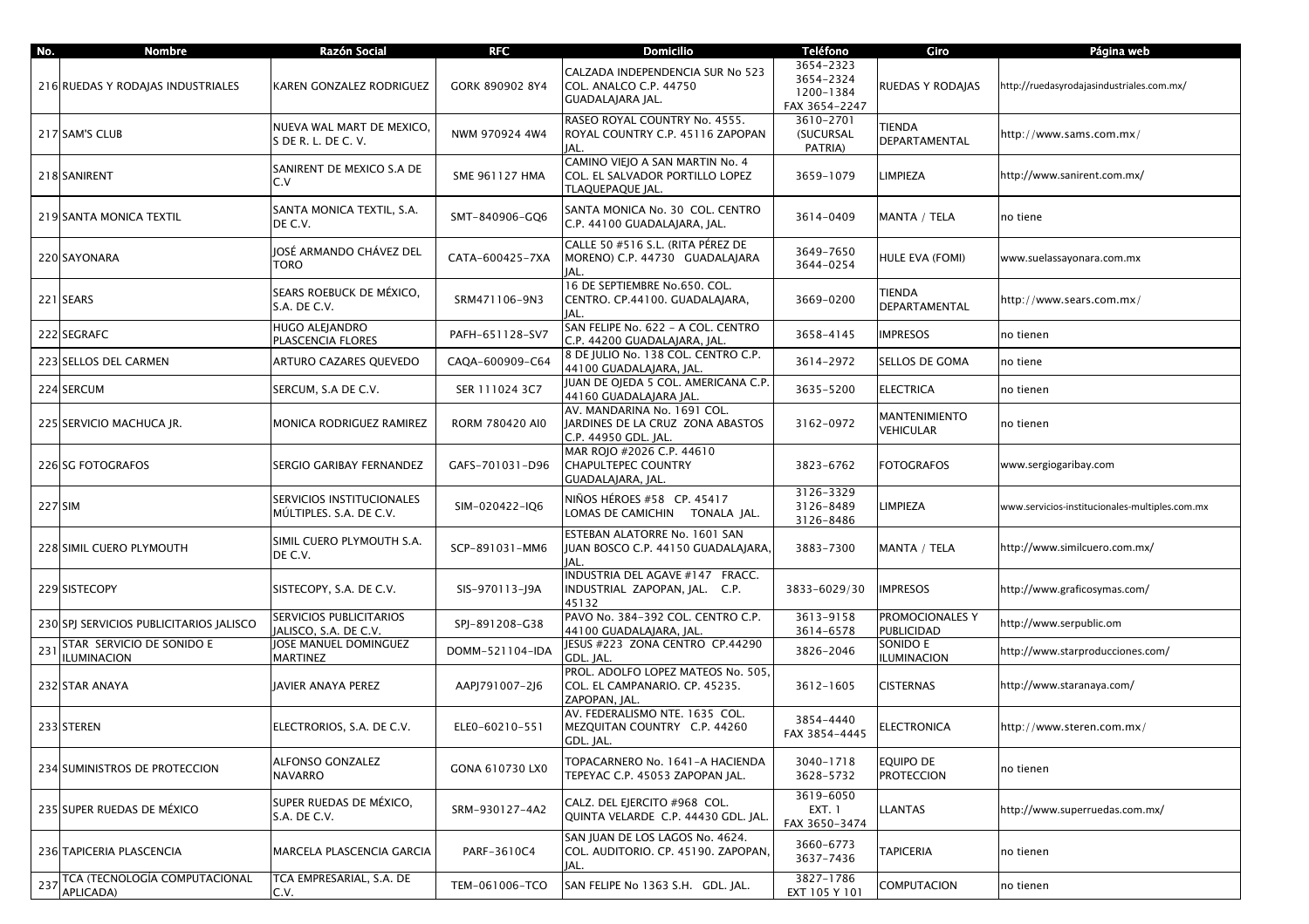| No. | <b>Nombre</b>                                   | Razón Social                                         | <b>RFC</b>      | <b>Domicilio</b>                                                                        | <b>Teléfono</b>                                      | Giro                              | Página web                                     |
|-----|-------------------------------------------------|------------------------------------------------------|-----------------|-----------------------------------------------------------------------------------------|------------------------------------------------------|-----------------------------------|------------------------------------------------|
|     | 216 RUEDAS Y RODAJAS INDUSTRIALES               | KAREN GONZALEZ RODRIGUEZ                             | GORK 890902 8Y4 | CALZADA INDEPENDENCIA SUR No 523<br>COL. ANALCO C.P. 44750<br>GUADALAJARA JAL.          | 3654-2323<br>3654-2324<br>1200-1384<br>FAX 3654-2247 | RUEDAS Y RODAJAS                  | http://ruedasyrodajasindustriales.com.mx/      |
|     | 217 SAM'S CLUB                                  | NUEVA WAL MART DE MEXICO,<br>S DE R. L. DE C. V.     | NWM 970924 4W4  | RASEO ROYAL COUNTRY No. 4555.<br>ROYAL COUNTRY C.P. 45116 ZAPOPAN<br>JAL.               | 3610-2701<br>(SUCURSAL<br>PATRIA)                    | TIENDA<br>DEPARTAMENTAL           | http://www.sams.com.mx/                        |
|     | 218 SANIRENT                                    | SANIRENT DE MEXICO S.A DE<br>C.V                     | SME 961127 HMA  | CAMINO VIEJO A SAN MARTIN No. 4<br>COL. EL SALVADOR PORTILLO LOPEZ<br>TLAQUEPAQUE JAL.  | 3659-1079                                            | LIMPIEZA                          | http://www.sanirent.com.mx/                    |
|     | 219 SANTA MONICA TEXTIL                         | SANTA MONICA TEXTIL, S.A.<br>DE C.V.                 | SMT-840906-GQ6  | SANTA MONICA No. 30 COL. CENTRO<br>C.P. 44100 GUADALAJARA, JAL.                         | 3614-0409                                            | MANTA / TELA                      | no tiene                                       |
|     | 220 SAYONARA                                    | IOSÉ ARMANDO CHÁVEZ DEL<br>TORO                      | CATA-600425-7XA | CALLE 50 #516 S.L. (RITA PÉREZ DE<br>MORENO) C.P. 44730 GUADALAJARA<br>IAL.             | 3649-7650<br>3644-0254                               | HULE EVA (FOMI)                   | www.suelassayonara.com.mx                      |
|     | 221 SEARS                                       | SEARS ROEBUCK DE MÉXICO,<br>S.A. DE C.V.             | SRM471106-9N3   | 16 DE SEPTIEMBRE No.650. COL.<br>CENTRO. CP.44100. GUADALAJARA,<br>JAL.                 | 3669-0200                                            | TIENDA<br><b>DEPARTAMENTAL</b>    | http://www.sears.com.mx/                       |
|     | 222 SEGRAFC                                     | HUGO ALEJANDRO<br>PLASCENCIA FLORES                  | PAFH-651128-SV7 | SAN FELIPE No. 622 - A COL. CENTRO<br>C.P. 44200 GUADALAJARA, JAL.                      | 3658-4145                                            | <b>IMPRESOS</b>                   | no tienen                                      |
|     | 223 SELLOS DEL CARMEN                           | ARTURO CAZARES QUEVEDO                               | CAQA-600909-C64 | 8 DE IULIO No. 138 COL, CENTRO C.P.<br>44100 GUADALAJARA, JAL.                          | 3614-2972                                            | SELLOS DE GOMA                    | no tiene                                       |
|     | 224 SERCUM                                      | SERCUM, S.A DE C.V.                                  | SER 111024 3C7  | JUAN DE OJEDA 5 COL. AMERICANA C.P.<br>44160 GUADALAJARA JAL                            | 3635-5200                                            | <b>ELECTRICA</b>                  | no tienen                                      |
|     | 225 SERVICIO MACHUCA JR.                        | MONICA RODRIGUEZ RAMIREZ                             | RORM 780420 AI0 | AV. MANDARINA No. 1691 COL.<br>JARDINES DE LA CRUZ ZONA ABASTOS<br>C.P. 44950 GDL. JAL. | 3162-0972                                            | MANTENIMIENTO<br><b>VEHICULAR</b> | no tienen                                      |
|     | 226 SG FOTOGRAFOS                               | SERGIO GARIBAY FERNANDEZ                             | GAFS-701031-D96 | MAR ROJO #2026 C.P. 44610<br>CHAPULTEPEC COUNTRY<br>GUADALAJARA, JAL.                   | 3823-6762                                            | <b>FOTOGRAFOS</b>                 | www.sergiogaribay.com                          |
|     | 227 SIM                                         | SERVICIOS INSTITUCIONALES<br>MÚLTIPLES. S.A. DE C.V. | SIM-020422-IQ6  | NIÑOS HÉROES #58 CP. 45417<br>LOMAS DE CAMICHIN TONALA JAL.                             | 3126-3329<br>3126-8489<br>3126-8486                  | LIMPIEZA                          | www.servicios-institucionales-multiples.com.mx |
|     | 228 SIMIL CUERO PLYMOUTH                        | SIMIL CUERO PLYMOUTH S.A.<br>DE C.V.                 | SCP-891031-MM6  | ESTEBAN ALATORRE No. 1601 SAN<br>JUAN BOSCO C.P. 44150 GUADALAJARA,<br>IAL.             | 3883-7300                                            | MANTA / TELA                      | http://www.similcuero.com.mx/                  |
|     | 229 SISTECOPY                                   | SISTECOPY, S.A. DE C.V.                              | SIS-970113-J9A  | NDUSTRIA DEL AGAVE #147 FRACC.<br>INDUSTRIAL ZAPOPAN, JAL. C.P.<br>45132                | 3833-6029/30                                         | <b>IMPRESOS</b>                   | http://www.graficosymas.com/                   |
|     | 230 SPJ SERVICIOS PUBLICITARIOS JALISCO         | SERVICIOS PUBLICITARIOS<br>JALISCO, S.A. DE C.V.     | SPJ-891208-G38  | PAVO No. 384-392 COL. CENTRO C.P.<br>44100 GUADALAJARA, JAL.                            | 3613-9158<br>3614-6578                               | PROMOCIONALES Y<br>PUBLICIDAD     | http://www.serpublic.om                        |
| 231 | STAR SERVICIO DE SONIDO E<br><b>ILUMINACION</b> | JOSE MANUEL DOMINGUEZ<br>MARTINEZ                    | DOMM-521104-IDA | ESUS #223 ZONA CENTRO CP.44290<br>GDL. JAL.                                             | 3826-2046                                            | SONIDO E<br>ILUMINACION           | http://www.starproducciones.com/               |
|     | 232 STAR ANAYA                                  | JAVIER ANAYA PEREZ                                   | AAPJ791007-2J6  | PROL. ADOLFO LOPEZ MATEOS No. 505.<br>COL. EL CAMPANARIO. CP. 45235.<br>ZAPOPAN, JAL.   | 3612-1605                                            | <b>CISTERNAS</b>                  | http://www.staranaya.com/                      |
|     | 233 STEREN                                      | ELECTRORIOS, S.A. DE C.V.                            | ELE0-60210-551  | AV. FEDERALISMO NTE. 1635 COL.<br>MEZQUITAN COUNTRY C.P. 44260<br>GDL. JAL.             | 3854-4440<br>FAX 3854-4445                           | <b>ELECTRONICA</b>                | http://www.steren.com.mx/                      |
|     | 234 SUMINISTROS DE PROTECCION                   | ALFONSO GONZALEZ<br><b>NAVARRO</b>                   | GONA 610730 LX0 | TOPACARNERO No. 1641-A HACIENDA<br>TEPEYAC C.P. 45053 ZAPOPAN JAL.                      | 3040-1718<br>3628-5732                               | equipo de<br><b>PROTECCION</b>    | no tienen                                      |
|     | 235 SUPER RUEDAS DE MÉXICO                      | SUPER RUEDAS DE MÉXICO,<br>S.A. DE C.V.              | SRM-930127-4A2  | CALZ. DEL EJERCITO #968 COL.<br>QUINTA VELARDE C.P. 44430 GDL. JAL.                     | 3619-6050<br>EXT. 1<br>FAX 3650-3474                 | <b>LLANTAS</b>                    | http://www.superruedas.com.mx/                 |
|     | 236 TAPICERIA PLASCENCIA                        | MARCELA PLASCENCIA GARCIA                            | PARF-3610C4     | SAN JUAN DE LOS LAGOS No. 4624.<br>COL. AUDITORIO. CP. 45190. ZAPOPAN,<br>JAL.          | 3660-6773<br>3637-7436                               | <b>TAPICERIA</b>                  | no tienen                                      |
| 237 | TCA (TECNOLOGÍA COMPUTACIONAL<br>APLICADA)      | TCA EMPRESARIAL, S.A. DE<br>C.V.                     | TEM-061006-TCO  | SAN FELIPE No 1363 S.H. GDL. JAL.                                                       | 3827-1786<br>EXT 105 Y 101                           | <b>COMPUTACION</b>                | no tienen                                      |